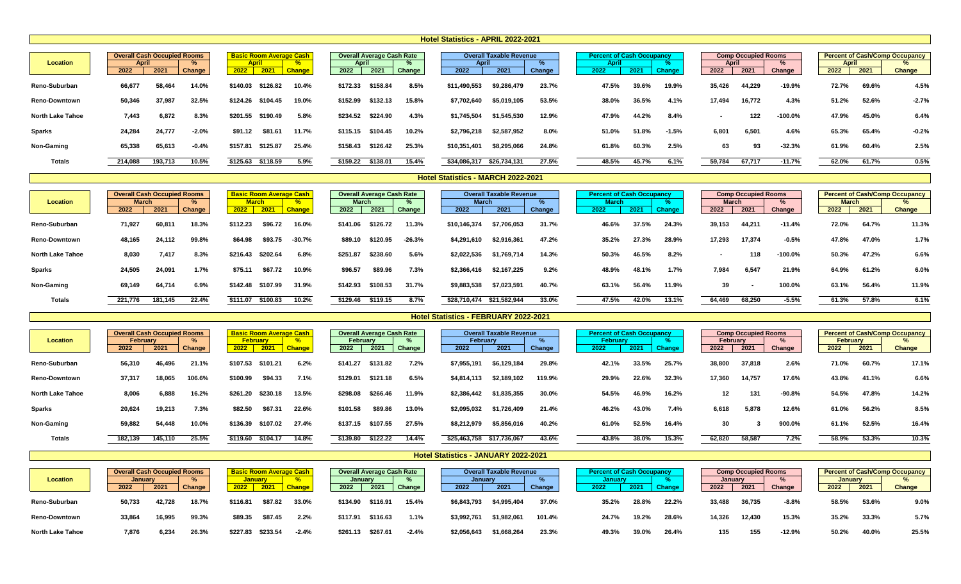| 2022    | 2021    | Change       | 2022                               | 2021     | $\overline{a}$<br><b>Change</b> | 2022                           | 2021     | Change | 2022                             | 2021        | Change                                       |                                | <b>April</b><br>2022 | 2021  | <b>Change</b> | 2022                             | 2021   | Change    | 2022                       | 2021  | <b>Change</b>                                         |
|---------|---------|--------------|------------------------------------|----------|---------------------------------|--------------------------------|----------|--------|----------------------------------|-------------|----------------------------------------------|--------------------------------|----------------------|-------|---------------|----------------------------------|--------|-----------|----------------------------|-------|-------------------------------------------------------|
| 66,677  | 58,464  | 14.0%        | \$140.03                           | \$126.82 | 10.4%                           | \$172.33                       | \$158.84 | 8.5%   | \$11,490,553                     | \$9,286,479 | 23.7%                                        |                                | 47.5%                | 39.6% | 19.9%         | 35,426                           | 44,229 | $-19.9%$  | 72.7%                      | 69.6% | 4.5%                                                  |
| 50,346  | 37,987  | 32.5%        | \$124.26                           | \$104.45 | 19.0%                           | \$152.99                       | \$132.13 | 15.8%  | \$7,702,640                      | \$5,019,105 | 53.5%                                        |                                | 38.0%                | 36.5% | 4.1%          | 17,494                           | 16,772 | 4.3%      | 51.2%                      | 52.6% | $-2.7%$                                               |
| 7,443   | 6,872   | 8.3%         | \$201.55                           | \$190.49 | 5.8%                            | \$234.52                       | \$224.90 | 4.3%   | \$1,745,504                      | \$1,545,530 | 12.9%                                        |                                | 47.9%                | 44.2% | 8.4%          | $\overline{\phantom{a}}$         | 122    | $-100.0%$ | 47.9%                      | 45.0% | 6.4%                                                  |
| 24,284  | 24,777  | $-2.0%$      | \$91.12                            | \$81.61  | 11.7%                           | \$115.15                       | \$104.45 | 10.2%  | \$2,796,218                      | \$2,587,952 | 8.0%                                         |                                | 51.0%                | 51.8% | $-1.5%$       | 6,801                            | 6,501  | 4.6%      | 65.3%                      | 65.4% | $-0.2%$                                               |
| 65,338  | 65,613  | $-0.4%$      | \$157.81                           | \$125.87 | 25.4%                           | \$158.43                       | \$126.42 | 25.3%  | \$10,351,401                     | \$8,295,066 | 24.8%                                        |                                | 61.8%                | 60.3% | 2.5%          | 63                               | 93     | $-32.3%$  | 61.9%                      | 60.4% | 2.5%                                                  |
| 214,088 | 193,713 | 10.5%        |                                    | \$118.59 | 5.9%                            | \$159.22                       | \$138.01 | 15.4%  |                                  |             | 27.5%                                        |                                | 48.5%                | 45.7% | 6.1%          | 59,784                           | 67,717 | $-11.7%$  | 62.0%                      | 61.7% | 0.5%                                                  |
|         |         | <b>April</b> | <b>Overall Cash Occupied Rooms</b> |          | <b>April</b><br>\$125.63        | <b>Basic Room Average Cash</b> |          | April  | <b>Overall Average Cash Rate</b> |             | <b>April</b><br>\$26,734,131<br>\$34,086,317 | <b>Overall Taxable Revenue</b> |                      |       |               | <b>Percent of Cash Occupancy</b> |        | April     | <b>Comp Occupied Rooms</b> |       | <b>Percent of Cash/Comp Occupancy</b><br><b>April</b> |

|                         | <b>Overall Cash Occupied Rooms</b> |         |        |              | <b>Basic Room Average Cash</b> |               |          | <b>Overall Average Cash Rate</b> |          |              | <b>Overall Taxable Revenue</b> |        | <b>Percent of Cash Occupancy</b> |       |               |                | <b>Comp Occupied Rooms</b> |           |              |       | <b>Percent of Cash/Comp Occupancy</b> |
|-------------------------|------------------------------------|---------|--------|--------------|--------------------------------|---------------|----------|----------------------------------|----------|--------------|--------------------------------|--------|----------------------------------|-------|---------------|----------------|----------------------------|-----------|--------------|-------|---------------------------------------|
| <b>Location</b>         | <b>March</b>                       |         |        | <b>March</b> |                                |               | March    |                                  |          | <b>March</b> |                                |        | <b>March</b>                     |       |               | <b>March</b>   |                            |           | <b>March</b> |       |                                       |
|                         | 2022                               | 2021    | Change | 2022         | 2021                           | <b>Change</b> | 2022     | 2021                             | Change   | 2022         | 2021                           | Change | 2022                             | 2021  | <b>Change</b> | 2022           | 2021                       | Change    | 2022         | 2021  | <b>Change</b>                         |
| Reno-Suburban           | 71,927                             | 60,81   | 18.3%  | \$112.23     | \$96.72                        | 16.0%         | \$141.06 | \$126.72                         | 11.3%    | \$10,146,374 | \$7,706,053                    | 31.7%  | 46.6%                            | 37.5% | 24.3%         | 39,153         | 44,211                     | $-11.4%$  | 72.0%        | 64.7% | 11.3%                                 |
| <b>Reno-Downtown</b>    | 48,165                             | 24,112  | 99.8%  | \$64.98      | \$93.75                        | $-30.7%$      | \$89.10  | \$120.95                         | $-26.3%$ | \$4,291,610  | \$2,916,361                    | 47.2%  | 35.2%                            | 27.3% | 28.9%         | 17,293         | 17,374                     | $-0.5%$   | 47.8%        | 47.0% | 1.7%                                  |
| <b>North Lake Tahoe</b> | 8,030                              | 7,417   | 8.3%   | \$216.43     | \$202.64                       | 6.8%          | \$251.87 | \$238.60                         | 5.6%     | \$2,022,536  | \$1,769,714                    | 14.3%  | 50.3%                            | 46.5% | 8.2%          | $\blacksquare$ | 118                        | $-100.0%$ | 50.3%        | 47.2% | 6.6%                                  |
| <b>Sparks</b>           | 24,505                             | 24,091  | 1.7%   | \$75.11      | \$67.72                        | 10.9%         | \$96.57  | \$89.96                          | 7.3%     | \$2,366,416  | \$2,167,225                    | 9.2%   | 48.9%                            | 48.1% | 1.7%          | 7,984          | 6,547                      | 21.9%     | 64.9%        | 61.2% | 6.0%                                  |
| <b>Non-Gaming</b>       | 69,149                             | 64,714  | 6.9%   | \$142.48     | \$107.99                       | 31.9%         | \$142.93 | \$108.53                         | 31.7%    | \$9,883,538  | \$7,023,591                    | 40.7%  | 63.1%                            | 56.4% | 11.9%         | 39             |                            | 100.0%    | 63.1%        | 56.4% | 11.9%                                 |
| <b>Totals</b>           | 221,776                            | 181,145 | 22.4%  | \$111.07     | \$100.83                       | 10.2%         | \$129.46 | \$119.15                         | 8.7%     | \$28,710,474 | \$21,582,944                   | 33.0%  | 47.5%                            | 42.0% | 13.1%         | 64,469         | 68,250                     | $-5.5%$   | 61.3%        | 57.8% | 6.1%                                  |

| <b>Location</b>         | <b>Overall Cash Occupied Rooms</b><br>February<br>2022 | 2021    | <b>Change</b> | 2022     | <b>February</b><br>2021 | <b>Basic Room Average Cash</b><br>$\overline{a}$<br><b>Change</b> | <b>February</b><br>2022 | <b>Overall Average Cash Rate</b><br>2021 | Change | <b>February</b><br>2022 | <b>Overall Taxable Revenue</b><br>2021 | Change | 2022 | <b>Percent of Cash Occupancy</b><br><b>February</b><br>2021 | <b>Change</b> | <b>February</b><br>2022 | <b>Comp Occupied Rooms</b><br>2021 | Change   | <b>February</b><br>2022 | 2021  | <b>Percent of Cash/Comp Occupancy</b><br><b>Change</b> |
|-------------------------|--------------------------------------------------------|---------|---------------|----------|-------------------------|-------------------------------------------------------------------|-------------------------|------------------------------------------|--------|-------------------------|----------------------------------------|--------|------|-------------------------------------------------------------|---------------|-------------------------|------------------------------------|----------|-------------------------|-------|--------------------------------------------------------|
| <b>Reno-Suburban</b>    | 56,310                                                 | 46,496  | 21.1%         | \$107.53 | \$101.21                | 6.2%                                                              | \$141.27                | \$131.82                                 | 7.2%   | \$7,955,191             | \$6,129,184                            | 29.8%  |      | 33.5%<br>42.1%                                              | 25.7%         | 38,800                  | 37,818                             | 2.6%     | 71.0%                   | 60.7% | 17.1%                                                  |
| <b>Reno-Downtown</b>    | 37,317                                                 | 18,065  | 106.6%        | \$100.99 | \$94.33                 | 7.1%                                                              | \$129.01                | \$121.18                                 | 6.5%   | \$4,814,113             | \$2,189,102                            | 119.9% |      | 22.6%<br>29.9%                                              | 32.3%         | 17,360                  | 14,757                             | 17.6%    | 43.8%                   | 41.1% | 6.6%                                                   |
| <b>North Lake Tahoe</b> | 8,006                                                  | 6,888   | 16.2%         | \$261.20 | \$230.18                | 13.5%                                                             | \$298.08                | \$266.46                                 | 11.9%  | \$2,386,442             | \$1,835,355                            | 30.0%  |      | 46.9%<br>54.5%                                              | 16.2%         | 12                      | 131                                | $-90.8%$ | 54.5%                   | 47.8% | 14.2%                                                  |
| <b>Sparks</b>           | 20,624                                                 | 19,213  | 7.3%          | \$82.50  | \$67.31                 | 22.6%                                                             | \$101.58                | \$89.86                                  | 13.0%  | \$2,095,032             | \$1,726,409                            | 21.4%  |      | 43.0%<br>46.2%                                              | 7.4%          | 6,618                   | 5,878                              | 12.6%    | 61.0%                   | 56.2% | 8.5%                                                   |
| <b>Non-Gaming</b>       | 59,882                                                 | 54,448  | 10.0%         | \$136.39 | \$107.02                | 27.4%                                                             | \$137.15                | \$107.55                                 | 27.5%  | \$8,212,979             | \$5,856,016                            | 40.2%  |      | 52.5%<br>61.0%                                              | 16.4%         | 30                      |                                    | 900.0%   | 61.1%                   | 52.5% | 16.4%                                                  |
| <b>Totals</b>           | 182,139                                                | 145,110 | 25.5%         | \$119.60 | \$104.17                | 14.8%                                                             | \$139.80                | \$122.22                                 | 14.4%  | \$25,463,758            | \$17,736,067                           | 43.6%  |      | 43.8%<br>38.0%                                              | 15.3%         | 62,820                  | 58,587                             | 7.2%     | 58.9%                   | 53.3% | 10.3%                                                  |

| <b>Location</b>         | <b>Overall Cash Occupied Rooms</b><br><b>January</b> |        |        |          | <b>January</b> | <b>Basic Room Average Cash</b><br>$\overline{a}$ | <b>January</b> |          | <b>Overall Average Cash Rate</b> | <b>Januar</b> | <b>Overall Taxable Revenue</b> | 7V     |      | <b>January</b> | <b>Percent of Cash Occupancy</b> |               | January | <b>Comp Occupied Rooms</b> |          | <b>January</b> |       | <b>Percent of Cash/Comp Occupancy</b> |
|-------------------------|------------------------------------------------------|--------|--------|----------|----------------|--------------------------------------------------|----------------|----------|----------------------------------|---------------|--------------------------------|--------|------|----------------|----------------------------------|---------------|---------|----------------------------|----------|----------------|-------|---------------------------------------|
|                         | 2022                                                 | 2021   | Change | 2022     | 2021           | <b>Change</b>                                    | 2022           | 2021     | Change                           | 2022          | 2021                           | Change | 2022 |                | 2021                             | <b>Change</b> | 2022    | 2021                       | Change   | 2022           | 2021  | <b>Change</b>                         |
| <b>Reno-Suburban</b>    | 50,733                                               | 42,728 | 18.7%  | \$116.81 | \$87.82        | $33.0\%$                                         | \$134.90       | \$116.91 | 15.4%                            | \$6,843,793   | \$4,995,404                    | 37.0%  |      | 35.2%          | 28.8%                            | 22.2%         | 33,488  | 36,735                     | $-8.8%$  | 58.5%          | 53.6% | $9.0\%$                               |
| <b>Reno-Downtown</b>    | 33,864                                               | 16,995 | 99.3%  | \$89.35  | \$87.45        | 2.2%                                             | \$117.91       | \$116.63 | 1.1%                             | \$3,992,761   | 1,982,061                      | 101.4% |      | 24.7%          | 19.2%                            | 28.6%         | 14,326  | 12,430                     | 15.3%    | 35.2%          | 33.3% | 5.7%                                  |
| <b>North Lake Tahoe</b> | 7,876                                                | 6,234  | 26.3%  | \$227.83 | \$233.54       | $-2.4%$                                          | \$261.13       | \$267.61 | $-2.4%$                          | \$2,056,643   | \$1,668,264                    | 23.3%  |      | 49.3%          | 39.0%                            | 26.4%         | 135     | 155                        | $-12.9%$ | 50.2%          | 40.0% | 25.5%                                 |

## **Hotel Statistics - FEBRUARY 2022-2021**

**Hotel Statistics - JANUARY 2022-2021**

### **Hotel Statistics - MARCH 2022-2021**

### **Hotel Statistics - APRIL 2022-2021**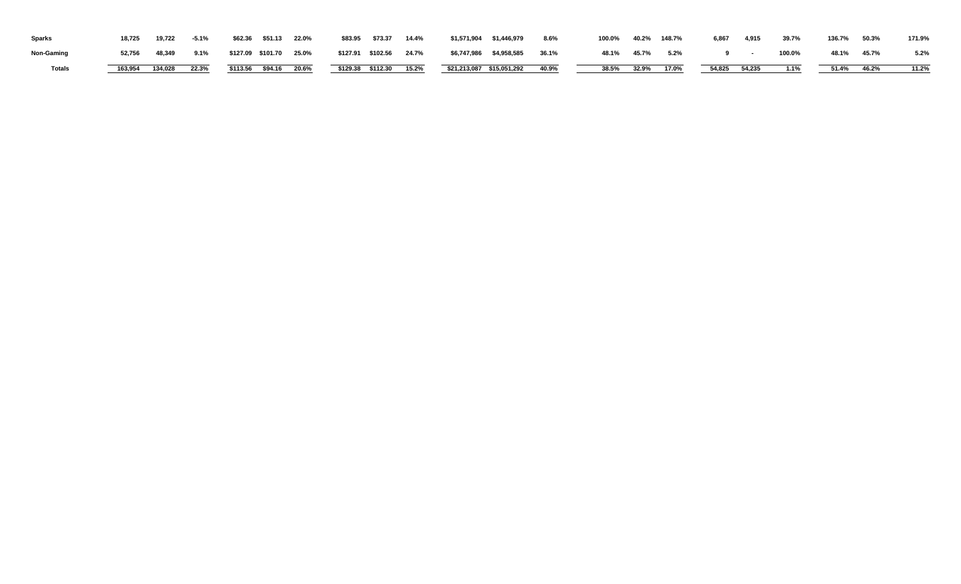| <b>Sparks</b>     | 18,725  | 19,722  | $-5.1%$ | \$62.36 \$51.13    | 22.0% | \$83.95 | \$73.37             | 14.4%    | \$1,571,904 \$1,446,979                  | $8.6\%$ | 100.0% |       | 40.2%  148.7% | 6,867 | 4,915         | 39.7%  | 136.7% | 50.3% | 171.9% |
|-------------------|---------|---------|---------|--------------------|-------|---------|---------------------|----------|------------------------------------------|---------|--------|-------|---------------|-------|---------------|--------|--------|-------|--------|
| <b>Non-Gaming</b> | 52,756  | 48,349  | $9.1\%$ | \$127.09 \$101.70  | 25.0% |         | \$127.91 \$102.56   | 24.7%    | \$6,747,986 \$4,958,585                  | 36.1%   | 48.1%  | 45.7% | $5.2\%$       |       |               | 100.0% | 48.1%  | 45.7% | 5.2%   |
| <b>Totals</b>     | 163,954 | 134,028 | 22.3%   | $$113.56$ $$94.16$ | 20.6% |         | $$129.38$ $$112.30$ | $15.2\%$ | $\overline{$}$ \$21,213,087 \$15,051,292 | 40.9%   | 38.5%  | 32.9% | $17.0\%$      |       | 54,825 54,235 | 1.1%   | 51.4%  | 46.2% | 11.2%  |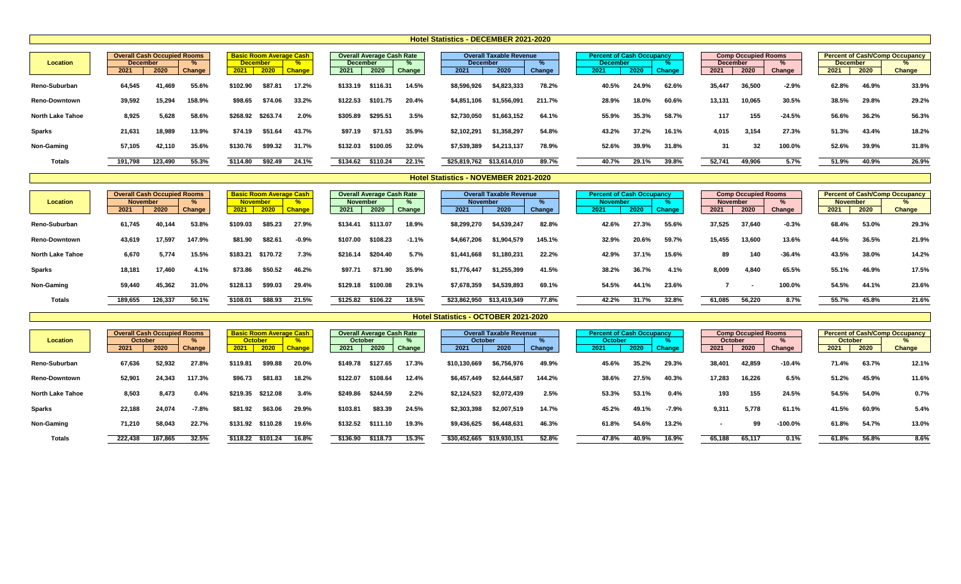| <b>Location</b>         | <b>Overall Cash Occupied Rooms</b><br><b>December</b> |         |        |          | <b>Basic Room Average Cash</b><br><b>December</b> | $\overline{\mathbf{0}}$ | <b>December</b> | <b>Overall Average Cash Rate</b> |        | <b>December</b> | <b>Overall Taxable Revenue</b> |        |       | <b>Percent of Cash Occupancy</b><br><b>December</b> |               | <b>December</b> | <b>Comp Occupied Rooms</b> |          | <b>December</b> |       | <b>Percent of Cash/Comp Occupancy</b> |
|-------------------------|-------------------------------------------------------|---------|--------|----------|---------------------------------------------------|-------------------------|-----------------|----------------------------------|--------|-----------------|--------------------------------|--------|-------|-----------------------------------------------------|---------------|-----------------|----------------------------|----------|-----------------|-------|---------------------------------------|
|                         | 2021                                                  | 2020    | Change | 2021     | 2020                                              | <b>Change</b>           | 2021            | 2020                             | Change | 2021            | 2020                           | Change | 2021  | 2020                                                | <b>Change</b> | 2021            | 2020                       | Change   | 2021            | 2020  | <b>Change</b>                         |
| <b>Reno-Suburban</b>    | 64,545                                                | 41,469  | 55.6%  | \$102.90 | \$87.8                                            | 17.2%                   | \$133.19        | \$116.31                         | 14.5%  | \$8,596,926     | \$4,823,333                    | 78.2%  | 40.5% | 24.9%                                               | 62.6%         | 35,447          | 36,500                     | $-2.9%$  | 62.8%           | 46.9% | 33.9%                                 |
| <b>Reno-Downtown</b>    | 39,592                                                | 15,294  | 158.9% | \$98.65  | \$74.06                                           | 33.2%                   | \$122.53        | \$101.75                         | 20.4%  | \$4,851,106     | \$1,556,091                    | 211.7% | 28.9% | 18.0%                                               | 60.6%         | 13,131          | 10,065                     | 30.5%    | 38.5%           | 29.8% | 29.2%                                 |
| <b>North Lake Tahoe</b> | 8,925                                                 | 5,628   | 58.6%  | \$268.92 | \$263.74                                          | 2.0%                    | \$305.89        | \$295.51                         | 3.5%   | \$2,730,050     | \$1,663,152                    | 64.1%  | 55.9% | 35.3%                                               | 58.7%         | 117             | 155                        | $-24.5%$ | 56.6%           | 36.2% | 56.3%                                 |
| <b>Sparks</b>           | 21,631                                                | 18,989  | 13.9%  | \$74.19  | \$51.64                                           | 43.7%                   | \$97.19         | \$71.53                          | 35.9%  | \$2,102,291     | \$1,358,297                    | 54.8%  | 43.2% | 37.2%                                               | 16.1%         | 4,015           | 3,154                      | 27.3%    | 51.3%           | 43.4% | 18.2%                                 |
| <b>Non-Gaming</b>       | 57,105                                                | 42,110  | 35.6%  | \$130.76 | \$99.32                                           | 31.7%                   | \$132.03        | \$100.05                         | 32.0%  | \$7,539,389     | \$4,213,137                    | 78.9%  | 52.6% | 39.9%                                               | 31.8%         | 31              | 32                         | 100.0%   | 52.6%           | 39.9% | 31.8%                                 |
| <b>Totals</b>           | 191,798                                               | 123,490 | 55.3%  | \$114.80 | \$92.49                                           | 24.1%                   | \$134.62        | \$110.24                         | 22.1%  | \$25,819,762    | \$13,614,010                   | 89.7%  | 40.7% | 29.1%                                               | 39.8%         | 52,741          | 49,906                     | 5.7%     | 51.9%           | 40.9% | 26.9%                                 |

|                         | <b>Overall Cash Occupied Rooms</b> |         |        |                 |          | <b>Basic Room Average Cash</b> |                 | <b>Overall Average Cash Rate</b> |         |                 | <b>Overall Taxable Revenue</b> |        | <b>Percent of Cash Occupancy</b> |       |               |                 | <b>Comp Occupied Rooms</b> |          |                 |       | <b>Percent of Cash/Comp Occupancy</b> |
|-------------------------|------------------------------------|---------|--------|-----------------|----------|--------------------------------|-----------------|----------------------------------|---------|-----------------|--------------------------------|--------|----------------------------------|-------|---------------|-----------------|----------------------------|----------|-----------------|-------|---------------------------------------|
| <b>Location</b>         | <b>November</b>                    |         |        | <b>November</b> |          |                                | <b>November</b> |                                  |         | <b>November</b> |                                |        | <b>November</b>                  |       |               | <b>November</b> |                            |          | <b>November</b> |       |                                       |
|                         | 2021                               | 2020    | Change | 2021            | 2020     | <b>Change</b>                  | 2021            | 2020                             | Change  | 2021            | 2020                           | Change | 2021                             | 2020  | <b>Change</b> | 2021            | 2020                       | Change   | 2021            | 2020  | <b>Change</b>                         |
| <b>Reno-Suburban</b>    | 61,745                             | 40,144  | 53.8%  | \$109.03        | \$85.23  | 27.9%                          | \$134.41        | \$113.07                         | 18.9%   | \$8,299,270     | \$4,539,247                    | 82.8%  | 42.6%                            | 27.3% | 55.6%         | 37,525          | 37,640                     | $-0.3%$  | 68.4%           | 53.0% | 29.3%                                 |
| <b>Reno-Downtown</b>    | 43,619                             | 17,597  | 147.9% | \$81.90         | \$82.6   | $-0.9%$                        | \$107.00        | \$108.23                         | $-1.1%$ | \$4,667,206     | \$1,904,579                    | 145.1% | 32.9%                            | 20.6% | 59.7%         | 15,455          | 13,600                     | 13.6%    | 44.5%           | 36.5% | 21.9%                                 |
| <b>North Lake Tahoe</b> | 6,670                              | 5,774   | 15.5%  | \$183.21        | \$170.72 | 7.3%                           | \$216.14        | \$204.40                         | 5.7%    | \$1,441,668     | \$1,180,231                    | 22.2%  | 42.9%                            | 37.1% | 15.6%         | 89              | 140                        | $-36.4%$ | 43.5%           | 38.0% | 14.2%                                 |
| <b>Sparks</b>           | 18,181                             | 17.460  | 4.1%   | \$73.86         | \$50.52  | 46.2%                          | \$97.71         | \$71.90                          | 35.9%   | \$1,776,447     | \$1,255,399                    | 41.5%  | 38.2%                            | 36.7% | 4.1%          | 8,009           | 4,840                      | 65.5%    | 55.1%           | 46.9% | 17.5%                                 |
| <b>Non-Gaming</b>       | 59,440                             | 45,362  | 31.0%  | \$128.13        | \$99.03  | 29.4%                          | \$129.18        | \$100.08                         | 29.1%   | \$7,678,359     | \$4,539,893                    | 69.1%  | 54.5%                            | 44.1% | 23.6%         |                 |                            | 100.0%   | 54.5%           | 44.1% | 23.6%                                 |
| <b>Totals</b>           | 189,655                            | 126,337 | 50.1%  | \$108.01        | \$88.93  | 21.5%                          | \$125.82        | \$106.22                         | 18.5%   | \$23,862,950    | \$13,419,349                   | 77.8%  | 42.2%                            | 31.7% | 32.8%         | 61,085          | 56,220                     | 8.7%     | 55.7%           | 45.8% | 21.6%                                 |

|                         | <b>Overall Cash Occupied Rooms</b> |         |         |          |                | <b>Basic Room Average Cash</b> |                | <b>Overall Average Cash Rate</b> |        |                | <b>Overall Taxable Revenue</b> |        | <b>Percent of Cash Occupancy</b> |       |               |                | <b>Comp Occupied Rooms</b> |            |                |       | <b>Percent of Cash/Comp Occupancy</b> |
|-------------------------|------------------------------------|---------|---------|----------|----------------|--------------------------------|----------------|----------------------------------|--------|----------------|--------------------------------|--------|----------------------------------|-------|---------------|----------------|----------------------------|------------|----------------|-------|---------------------------------------|
| <b>Location</b>         | <b>October</b>                     |         |         |          | <b>October</b> | $\overline{a}$                 | <b>October</b> |                                  |        | <b>October</b> |                                |        | <b>October</b>                   |       |               | <b>October</b> |                            |            | <b>October</b> |       |                                       |
|                         | 2021                               | 2020    | Change  | 2021     | 2020           | <b>Change</b>                  | 2021           | 2020                             | Change | 2021           | 2020                           | Change | 2021                             | 2020  | <b>Change</b> | 2021           | 2020                       | Change     | 2021           | 2020  | <b>Change</b>                         |
| <b>Reno-Suburban</b>    | 67,636                             | 52,932  | 27.8%   | \$119.8  | \$99.88        | 20.0%                          | \$149.78       | \$127.65                         | 17.3%  | \$10,130,669   | \$6,756,976                    | 49.9%  | 45.6%                            | 35.2% | 29.3%         | 38,401         | 42,859                     | $-10.4%$   | 71.4%          | 63.7% | 12.1%                                 |
| <b>Reno-Downtown</b>    | 52,901                             | 24,343  | 117.3%  | \$96.73  | \$81.83        | 18.2%                          | \$122.07       | \$108.64                         | 12.4%  | \$6,457,449    | \$2,644,587                    | 144.2% | 38.6%                            | 27.5% | 40.3%         | 17,283         | 16,226                     | 6.5%       | 51.2%          | 45.9% | 11.6%                                 |
| <b>North Lake Tahoe</b> | 8,503                              | 8,473   | 0.4%    | \$219.35 | \$212.08       | 3.4%                           | \$249.86       | \$244.59                         | 2.2%   | \$2,124,523    | \$2,072,439                    | 2.5%   | 53.3%                            | 53.1% | 0.4%          | 193            | 155                        | 24.5%      | 54.5%          | 54.0% | 0.7%                                  |
| <b>Sparks</b>           | 22,188                             | 24,074  | $-7.8%$ | \$81.92  | \$63.06        | 29.9%                          | \$103.81       | \$83.39                          | 24.5%  | \$2,303,398    | \$2,007,519                    | 14.7%  | 45.2%                            | 49.1% | $-7.9%$       | 9,311          | 5,778                      | 61.1%      | 41.5%          | 60.9% | 5.4%                                  |
| <b>Non-Gaming</b>       | 71,210                             | 58,043  | 22.7%   | \$131.92 | \$110.28       | 19.6%                          | \$132.52       | \$111.10                         | 19.3%  | \$9,436,625    | \$6,448,631                    | 46.3%  | 61.8%                            | 54.6% | 13.2%         |                | 99                         | $-100.0\%$ | 61.8%          | 54.7% | 13.0%                                 |
| <b>Totals</b>           | 222,438                            | 167,865 | 32.5%   | \$118.22 | \$101.24       | 16.8%                          | \$136.90       | \$118.73                         | 15.3%  | \$30,452,665   | \$19,930,151                   | 52.8%  | 47.8%                            | 40.9% | 16.9%         | 65,188         | 65,117                     | 0.1%       | 61.8%          | 56.8% | 8.6%                                  |

### **Hotel Statistics - DECEMBER 2021-2020**

## **Hotel Statistics - OCTOBER 2021-2020**

## **Hotel Statistics - NOVEMBER 2021-2020**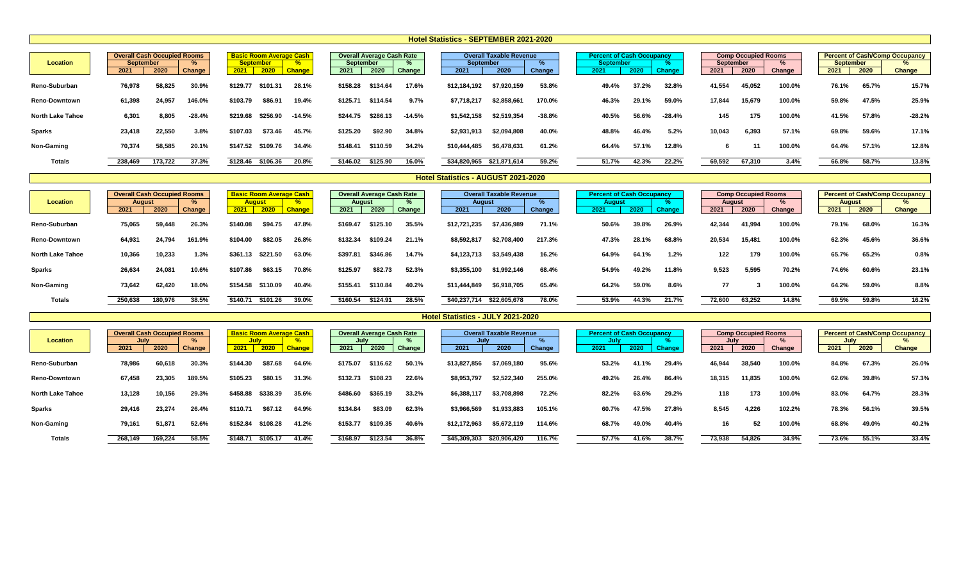| <b>Location</b>         | <b>Overall Cash Occupied Rooms</b><br><b>September</b><br>2021 | 2020    | Change   | 2021     | <b>Basic Room Average Cash</b><br><b>September</b><br>2020 | <b>Change</b> | <b>September</b><br>2021 | <b>Overall Average Cash Rate</b><br>2020 | Change   | <b>September</b><br>2021 | <b>Overall Taxable Revenue</b><br>2020 | Change   | <b>Percent of Cash Occupancy</b><br><b>September</b><br>2021 | 2020  | <b>Change</b> | September<br>2021 | <b>Comp Occupied Rooms</b><br>2020 | Change | <b>September</b><br>2021 | 2020  | <b>Percent of Cash/Comp Occupancy</b><br><b>Change</b> |
|-------------------------|----------------------------------------------------------------|---------|----------|----------|------------------------------------------------------------|---------------|--------------------------|------------------------------------------|----------|--------------------------|----------------------------------------|----------|--------------------------------------------------------------|-------|---------------|-------------------|------------------------------------|--------|--------------------------|-------|--------------------------------------------------------|
| <b>Reno-Suburban</b>    | 76,978                                                         | 58,825  | 30.9%    | \$129.77 | \$101.31                                                   | 28.1%         | \$158.28                 | \$134.64                                 | 17.6%    | \$12,184,192             | \$7,920,159                            | 53.8%    | 49.4%                                                        | 37.2% | 32.8%         | 41,554            | 45,052                             | 100.0% | 76.1%                    | 65.7% | 15.7%                                                  |
| <b>Reno-Downtown</b>    | 61,398                                                         | 24,957  | 146.0%   | \$103.79 | \$86.91                                                    | 19.4%         | \$125.71                 | \$114.54                                 | 9.7%     | \$7,718,217              | \$2,858,661                            | 170.0%   | 46.3%                                                        | 29.1% | 59.0%         | 17,844            | 15,679                             | 100.0% | 59.8%                    | 47.5% | 25.9%                                                  |
| <b>North Lake Tahoe</b> | 6,301                                                          | 8,805   | $-28.4%$ | \$219.68 | \$256.90                                                   | $-14.5%$      | \$244.75                 | \$286.13                                 | $-14.5%$ | \$1,542,158              | \$2,519,354                            | $-38.8%$ | 40.5%                                                        | 56.6% | $-28.4%$      | 145               | 175                                | 100.0% | 41.5%                    | 57.8% | $-28.2%$                                               |
| <b>Sparks</b>           | 23,418                                                         | 22,550  | 3.8%     | \$107.03 | \$73.46                                                    | 45.7%         | \$125.20                 | \$92.90                                  | 34.8%    | \$2,931,913              | \$2,094,808                            | 40.0%    | 48.8%                                                        | 46.4% | 5.2%          | 10,043            | 6,393                              | 57.1%  | 69.8%                    | 59.6% | 17.1%                                                  |
| <b>Non-Gaming</b>       | 70,374                                                         | 58,585  | 20.1%    | \$147.52 | \$109.76                                                   | 34.4%         | \$148.41                 | \$110.59                                 | 34.2%    | \$10,444,485             | \$6,478,631                            | 61.2%    | 64.4%                                                        | 57.1% | 12.8%         |                   |                                    | 100.0% | 64.4%                    | 57.1% | 12.8%                                                  |
| <b>Totals</b>           | 238,469                                                        | 173,722 | 37.3%    | \$128.46 | \$106.36                                                   | 20.8%         | \$146.02                 | \$125.90                                 | 16.0%    | \$34,820,965             | \$21,871,614                           | 59.2%    | 51.7%                                                        | 42.3% | 22.2%         | 69,592            | 67,310                             | 3.4%   | 66.8%                    | 58.7% | 13.8%                                                  |

| <b>Location</b>         | <b>Overall Cash Occupied Rooms</b><br><b>August</b><br>2021 | 2020    | Change | 2021     | <b>Basic Room Average Cash</b><br><b>August</b><br>2020 | $\overline{a}$<br><b>Change</b> | August<br>2021 | <b>Overall Average Cash Rate</b><br>2020 | Change | <b>August</b><br>2021 | <b>Overall Taxable Revenue</b><br>2020 | Change | <b>Percent of Cash Occupancy</b><br><b>August</b><br>2021 | 2020  | <b>Change</b>       | August<br>2021 | <b>Comp Occupied Rooms</b><br>2020 | Change | August<br>2021 | 2020  | <b>Percent of Cash/Comp Occupancy</b><br><b>Change</b> |
|-------------------------|-------------------------------------------------------------|---------|--------|----------|---------------------------------------------------------|---------------------------------|----------------|------------------------------------------|--------|-----------------------|----------------------------------------|--------|-----------------------------------------------------------|-------|---------------------|----------------|------------------------------------|--------|----------------|-------|--------------------------------------------------------|
| Reno-Suburban           | 75,065                                                      | 59,448  | 26.3%  | \$140.08 | \$94.75                                                 | 47.8%                           | \$169.47       | \$125.10                                 | 35.5%  | \$12,721,235          | \$7,436,989                            | 71.1%  | 50.6%                                                     | 39.8% | 26.9%               | 42,344         | 41,994                             | 100.0% | 79.1%          | 68.0% | 16.3%                                                  |
| <b>Reno-Downtown</b>    | 64,931                                                      | 24,794  | 161.9% | \$104.00 | \$82.05                                                 | 26.8%                           | \$132.34       | \$109.24                                 | 21.1%  | \$8,592,817           | \$2,708,400                            | 217.3% | 47.3%                                                     | 28.1% | 68.8%               | 20,534         | 15,481                             | 100.0% | 62.3%          | 45.6% | 36.6%                                                  |
| <b>North Lake Tahoe</b> | 10,366                                                      | 0,233   | 1.3%   | \$361.13 | \$221.50                                                | 63.0%                           | \$397.8        | \$346.86                                 | 14.7%  | \$4,123,713           | \$3,549,438                            | 16.2%  | 64.9%                                                     | 64.1% | 1.2%                | 122            | 179                                | 100.0% | 65.7%          | 65.2% | 0.8%                                                   |
| <b>Sparks</b>           | 26,634                                                      | 24,081  | 10.6%  | \$107.86 | \$63.15                                                 | 70.8%                           | \$125.97       | \$82.73                                  | 52.3%  | \$3,355,100           | \$1,992,146                            | 68.4%  | 54.9%                                                     | 49.2% | 11.8%               | 9,523          | 5,595                              | 70.2%  | 74.6%          | 60.6% | 23.1%                                                  |
| <b>Non-Gaming</b>       | 73,642                                                      | 62,420  | 18.0%  | \$154.58 | \$110.09                                                | 40.4%                           | \$155.41       | \$110.84                                 | 40.2%  | \$11,444,849          | \$6,918,705                            | 65.4%  | 64.2%                                                     | 59.0% | 8.6%                | 77             |                                    | 100.0% | 64.2%          | 59.0% | 8.8%                                                   |
| <b>Totals</b>           | 250,638                                                     | 180,976 | 38.5%  | \$140.71 | \$101.26                                                | 39.0%                           | \$160.54       | \$124.91                                 | 28.5%  | \$40,237,714          | \$22,605,678                           | 78.0%  | 53.9%                                                     | 44.3% | $21.\overline{7\%}$ | 72,600         | 63,252                             | 14.8%  | 69.5%          | 59.8% | 16.2%                                                  |

|                         | <b>Overall Cash Occupied Rooms</b> |         |               |          | <b>Basic Room Average Cash</b> |               |          | <b>Overall Average Cash Rate</b> |        | Overa        | II Taxable Revenue |        |       | <b>Percent of Cash Occupancy</b> |               |        | <b>Comp Occupied Rooms</b> |        |       |       | <b>Percent of Cash/Comp Occupancy</b> |
|-------------------------|------------------------------------|---------|---------------|----------|--------------------------------|---------------|----------|----------------------------------|--------|--------------|--------------------|--------|-------|----------------------------------|---------------|--------|----------------------------|--------|-------|-------|---------------------------------------|
| <b>Location</b>         | Julv                               |         |               | July     |                                |               | July     |                                  |        | July         |                    |        |       | <b>July</b>                      |               | July   |                            |        | July  |       |                                       |
|                         | 2021                               | 2020    | <b>Change</b> | 2021     | 2020                           | <b>Change</b> | 2021     | 2020                             | Change | 2021         | 2020               | Change | 2021  | 2020                             | <b>Change</b> | 2021   | 2020                       | Change | 2021  | 2020  | <b>Change</b>                         |
| <b>Reno-Suburban</b>    | 78,986                             | 60,618  | 30.3%         | \$144.30 | \$87.68                        | 64.6%         | \$175.07 | \$116.62                         | 50.1%  | \$13,827,856 | \$7,069,180        | 95.6%  | 53.2% | 41.1%                            | 29.4%         | 46,944 | 38,540                     | 100.0% | 84.8% | 67.3% | 26.0%                                 |
| <b>Reno-Downtown</b>    | 67,458                             | 23,305  | 189.5%        | \$105.23 | \$80.1\$                       | 31.3%         | \$132.73 | \$108.23                         | 22.6%  | \$8,953,797  | \$2,522,340        | 255.0% | 49.2% | 26.4%                            | 86.4%         | 18,315 | 11,835                     | 100.0% | 62.6% | 39.8% | 57.3%                                 |
| <b>North Lake Tahoe</b> | 13,128                             | 10,156  | 29.3%         | \$458.88 | \$338.39                       | 35.6%         | \$486.60 | \$365.19                         | 33.2%  | \$6,388,117  | \$3,708,898        | 72.2%  | 82.2% | 63.6%                            | 29.2%         | 118    | 173                        | 100.0% | 83.0% | 64.7% | 28.3%                                 |
| <b>Sparks</b>           | 29,416                             | 23,274  | 26.4%         | \$110.71 | \$67.12                        | 64.9%         | \$134.84 | \$83.09                          | 62.3%  | \$3,966,569  | 1,933,883          | 105.1% | 60.7% | 47.5%                            | 27.8%         | 8,545  | 4,226                      | 102.2% | 78.3% | 56.1% | 39.5%                                 |
| <b>Non-Gaming</b>       | 79,161                             | 51,871  | 52.6%         | \$152.84 | \$108.28                       | 41.2%         | \$153.77 | \$109.35                         | 40.6%  | \$12,172,963 | \$5,672,119        | 114.6% | 68.7% | 49.0%                            | 40.4%         | 16     | 52                         | 100.0% | 68.8% | 49.0% | 40.2%                                 |
| <b>Totals</b>           | 268,149                            | 169.224 | 58.5%         | \$148.71 | \$105.17                       | 41.4%         | \$168.97 | \$123.54                         | 36.8%  | \$45,309,303 | \$20,906,420       | 116.7% | 57.7% | 41.6%                            | 38.7%         | 73,938 | 54,826                     | 34.9%  | 73.6% | 55.1% | 33.4%                                 |

### **Hotel Statistics - AUGUST 2021-2020**

# **Hotel Statistics - JULY 2021-2020**

## **Hotel Statistics - SEPTEMBER 2021-2020**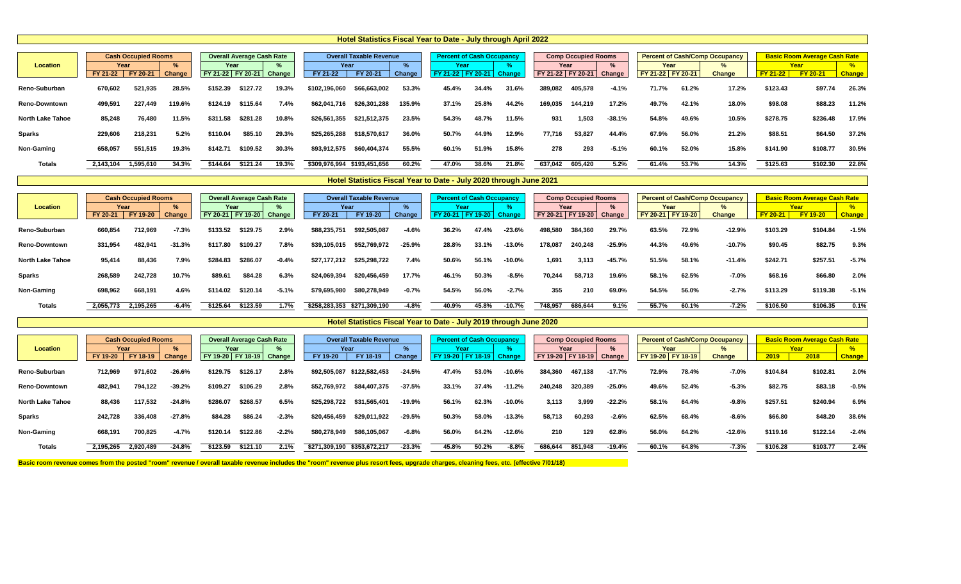# **Location % % % % % % %** FY 21-22 | FY 20-21 Change | FY 21-22 | FY 20-21 Change | FY 21-22 | FY 20-21 Change | FY 21-22 | FY 20-21 Change | FY 21-2 Reno-Suburban 670,602 521,935 28.5% \$152.39 \$127.72 19.3% \$102,196,060 \$66,663,002 53.3% 45.4% 34.4% 31.6% 389,08 Reno-Downtown 499,591 227,449 119.6% \$124.19 \$115.64 7.4% \$62,041,716 \$26,301,288 135.9% 37.1% 25.8% 44.2% 169,035 144,219 17.2% 49.7% 42.1% 18.0% \$98.08 \$88.23 11.2% North Lake Tahoe 85,248 76,480 11.5% \$311.58 \$281.28 10.8% \$26,561,355 \$21,512,375 23.5% 48.7% 11.5% 931 1,503 -38.1% 54.8% 49.6% 10.5% \$278.75 \$236.48 17.9% Sparks 229,606 218,231 5.2% \$110.04 \$85.10 29.3% \$25,265,288 \$18,570,617 36.0% 50.7% 44.9% 12.9% 77,716 53,827 44.4% 67.9% 56.0% 21.2% \$88.51 \$64.50 37.2% Non-Gaming 658,057 551,515 19.3% \$142.71 \$109.52 30.3% \$93,912,575 \$60,404,374 55.5% 60.1% 51.9% 278 293 -5.1% 60.1% 52.0% 15.8% \$141.90 \$108.77 30.5% Totals 2,143,104 1,595,610 34.3% \$144.64 \$121.24 19.3% \$309,976,994 \$193,451,656 60.2% 47.0% 38.6% 21.8% 637,04 **Hotel Statistics Fiscal Year to Date - July through April 2022 Cash Occupied Rooms <b>Perfect Average Cash Rate Percent Deverall Taxable Revenue Percent of Cash Occupancy Percent of Cash Rate Year Year Year Year Year Year Year**

|                         |           | <b>Cash Occupied Rooms</b> |          |                              | <b>Overall Average Cash Rate</b> |         |               | <b>Overall Taxable Revenue</b> |          | <b>Percent of Cash Occupancy</b> |       |          |                              | <b>Comp Occupied Rooms</b> |          |                     |       | <b>Percent of Cash/Comp Occupancy</b> |                 | <b>Basic Room Average Cash Rate</b> |               |
|-------------------------|-----------|----------------------------|----------|------------------------------|----------------------------------|---------|---------------|--------------------------------|----------|----------------------------------|-------|----------|------------------------------|----------------------------|----------|---------------------|-------|---------------------------------------|-----------------|-------------------------------------|---------------|
| <b>Location</b>         | Year      |                            |          | Year                         |                                  |         | Year          |                                |          | Year                             |       |          |                              | Year                       |          | Year                |       |                                       |                 | Year                                |               |
|                         | FY 20-21  | FY 19-20                   | Change   | FY 20-21   FY 19-20   Change |                                  |         | FY 20-21      | FY 19-20                       | Change   | FY 20-21   FY 19-20              |       | Change   | FY 20-21   FY 19-20   Change |                            |          | FY 20-21   FY 19-20 |       | <b>Change</b>                         | <b>FY 20-21</b> | <b>FY 19-20</b>                     | <b>Change</b> |
| Reno-Suburban           | 660,854   | 712,969                    | $-7.3%$  | \$133.52                     | \$129.75                         | 2.9%    | \$88,235,751  | \$92,505,087                   | $-4.6%$  | 36.2%                            | 17.4% | $-23.6%$ | 498,580                      | 384,360                    | 29.7%    | 63.5%               | 72.9% | $-12.9%$                              | \$103.29        | \$104.84                            | $-1.5%$       |
| <b>Reno-Downtown</b>    | 331,954   | 482,941                    | $-31.3%$ | \$117.80                     | \$109.27                         | 7.8%    | \$39,105,015  | \$52,769,972                   | $-25.9%$ | 28.8%                            | 33.1% | $-13.0%$ | 178,087                      | 240,248                    | $-25.9%$ | 44.3%               | 49.6% | $-10.7%$                              | \$90.45         | \$82.75                             | 9.3%          |
| <b>North Lake Tahoe</b> | 95,414    | 88,436                     | 7.9%     | \$284.83                     | \$286.07                         | $-0.4%$ | \$27,177,212  | \$25,298,722                   | 7.4%     | 50.6%                            | 56.1% | 10.0%    | 1,691                        | 3,113                      | $-45.7%$ | 51.5%               | 58.1% | $-11.4%$                              | \$242.71        | \$257.51                            | $-5.7%$       |
| Sparks                  | 268,589   | 242,728                    | 10.7%    | \$89.61                      | \$84.28                          | 6.3%    | \$24,069,394  | \$20,456,459                   | 17.7%    | 46.1%                            | 50.3% | $-8.5%$  | 70,244                       | 58,713                     | 19.6%    | 58.1%               | 62.5% | $-7.0%$                               | \$68.16         | \$66.80                             | 2.0%          |
| <b>Non-Gaming</b>       | 698,962   | 668,191                    | 4.6%     | \$114.02                     | \$120.14                         | $-5.1%$ | \$79,695,980  | \$80,278,949                   | $-0.7%$  | 54.5%                            | 56.0% | $-2.7%$  | 355                          | 210                        | 69.0%    | 54.5%               | 56.0% | $-2.7%$                               | \$113.29        | \$119.38                            | $-5.1%$       |
| <b>Totals</b>           | 2,055,773 | 2,195,265                  | $-6.4%$  | \$125.64                     | \$123.59                         | 1.7%    | \$258,283,353 | \$271,309,190                  | $-4.8%$  | 40.9%                            | 45.8% | $-10.7%$ | 748,957                      | 686,644                    | 9.1%     | 55.7%               | 60.1% | $-7.2%$                               | \$106.50        | \$106.35                            | 0.1%          |

|                         |           | <b>Cash Occupied Rooms</b> |               |                              | <b>Overall Average Cash Rate</b> |         |                             | <b>Overall Taxable Revenue</b> |               | <b>Percent of Cash Occupancy</b> |          |               |         | <b>Comp Occupied Rooms</b> |           |                   |       | <b>Percent of Cash/Comp Occupancy</b> |          | <b>Basic Room Average Cash Rate</b> |               |
|-------------------------|-----------|----------------------------|---------------|------------------------------|----------------------------------|---------|-----------------------------|--------------------------------|---------------|----------------------------------|----------|---------------|---------|----------------------------|-----------|-------------------|-------|---------------------------------------|----------|-------------------------------------|---------------|
| <b>Location</b>         | Year      |                            |               | Year                         |                                  |         | Year                        |                                |               | Year                             |          |               | Year    |                            |           | Year              |       |                                       |          | Year                                |               |
|                         | FY 19-20  | FY 18-19                   | <b>Change</b> | FY 19-20   FY 18-19   Change |                                  |         | FY 19-20                    | FY 18-19                       | <b>Change</b> | FY 19-20                         | FY 18-19 | <b>Change</b> |         | FY 19-20   FY 18-19        | Change    | FY 19-20 FY 18-19 |       | <b>Change</b>                         | 2019     | 2018                                | <b>Change</b> |
| <b>Reno-Suburban</b>    | 712,969   | 971,602                    | $-26.6%$      | \$129.75                     | \$126.17                         | 2.8%    | \$92,505,087                | \$122.582.453                  | $-24.5%$      | 47.4%                            | 53.0%    | $-10.6%$      | 384,360 | 467,138                    | $-17.7%$  | 72.9%             | 78.4% | $-7.0%$                               | \$104.84 | \$102.81                            | 2.0%          |
| <b>Reno-Downtown</b>    | 482,941   | 794,122                    | $-39.2%$      | \$109.27                     | \$106.29                         | 2.8%    | \$52,769,972                | \$84,407,375                   | $-37.5%$      | 33.1%                            | 37.4%    | $-11.2%$      | 240,248 | 320,389                    | $-25.0\%$ | 49.6%             | 52.4% | $-5.3%$                               | \$82.75  | \$83.18                             | $-0.5%$       |
| <b>North Lake Tahoe</b> | 88,436    | 117,532                    | $-24.8%$      | \$286.07                     | \$268.57                         | 6.5%    | \$25,298,722                | \$31,565,401                   | $-19.9%$      | 56.1%                            | 62.3%    | $-10.0\%$     | 3,113   | 3,999                      | $-22.2%$  | 58.1%             | 64.4% | $-9.8%$                               | \$257.51 | \$240.94                            | 6.9%          |
| <b>Sparks</b>           | 242,728   | 336,408                    | $-27.8%$      | \$84.28                      | \$86.24                          | $-2.3%$ | \$20,456,459                | \$29,011,922                   | $-29.5\%$     | 50.3%                            | 58.0%    | $-13.3%$      | 58,713  | 60,293                     | $-2.6%$   | 62.5%             | 68.4% | $-8.6%$                               | \$66.80  | \$48.20                             | 38.6%         |
| <b>Non-Gaming</b>       | 668,191   | 700,825                    | $-4.7%$       | \$120.14                     | \$122.86                         | $-2.2%$ | \$80,278,949                | \$86,105,067                   | $-6.8%$       | 56.0%                            | 64.2%    | $-12.6%$      | 210     | 129                        | 62.8%     | 56.0%             | 64.2% | $-12.6%$                              | \$119.16 | \$122.14                            | $-2.4%$       |
| <b>Totals</b>           | 2,195,265 | 2,920,489                  | $-24.8%$      | \$123.59                     | \$121.10                         | 2.1%    | \$271,309,190 \$353,672,217 |                                | $-23.3%$      | 45.8%                            | 50.2%    | $-8.8%$       | 686,644 | 851,948                    | $-19.4%$  | 60.1%             | 64.8% | $-7.3%$                               | \$106.28 | \$103.77                            | 2.4%          |

Basic room revenue comes from the posted "room" revenue / overall taxable revenue includes the "room" revenue plus resort fees, upgrade charges, cleaning fees, etc. (effective 7/01/18)

|    | np Occupied Rooms |               |                     |       | <b>Percent of Cash/Comp Occupancy</b> |                 | <b>Basic Room Average Cash Rate</b> |               |
|----|-------------------|---------------|---------------------|-------|---------------------------------------|-----------------|-------------------------------------|---------------|
|    | Year              | $\%$          | Year                |       | %                                     |                 | Year                                | $\%$          |
|    | 22 FY 20-21       | <b>Change</b> | FY 21-22   FY 20-21 |       | <b>Change</b>                         | <b>FY 21-22</b> | <b>FY 20-21</b>                     | <b>Change</b> |
| 32 | 405,578           | $-4.1%$       | 71.7%               | 61.2% | 17.2%                                 | \$123.43        | \$97.74                             | 26.3%         |
| 85 | 144,219           | 17.2%         | 49.7%               | 42.1% | 18.0%                                 | \$98.08         | \$88.23                             | 11.2%         |
| 81 | 1,503             | $-38.1%$      | 54.8%               | 49.6% | 10.5%                                 | \$278.75        | \$236.48                            | 17.9%         |
| 6  | 53,827            | 44.4%         | 67.9%               | 56.0% | 21.2%                                 | \$88.51         | \$64.50                             | 37.2%         |
| 78 | 293               | $-5.1%$       | 60.1%               | 52.0% | 15.8%                                 | \$141.90        | \$108.77                            | 30.5%         |
| 12 | 605,420           | 5.2%          | 61.4%               | 53.7% | 14.3%                                 | \$125.63        | \$102.30                            | 22.8%         |
|    |                   |               |                     |       |                                       |                 |                                     |               |

### **Hotel Statistics Fiscal Year to Date - July 2020 through June 2021**

### **Hotel Statistics Fiscal Year to Date - July 2019 through June 2020**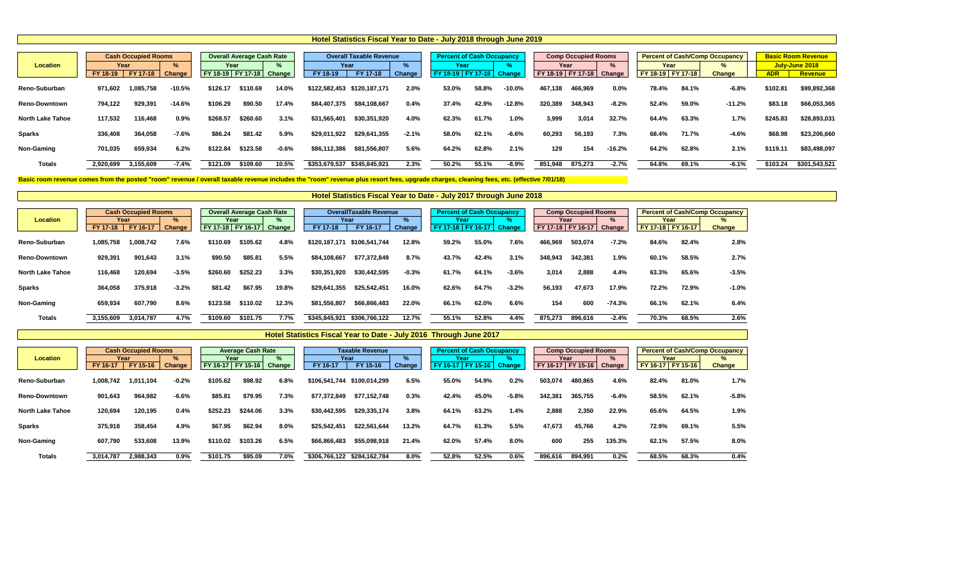# **Location % % % % % %** FY 18-19 | FY 17-18 Change | FY 18-19 | FY 17-18 Change | FY 18-19 | FY 17-18 Change | FY 18-19 | FY 17-18 Change | FY 18-1 Reno-Suburban 971,602 1,085,758 -10.5% \$126.17 \$110.69 14.0% \$122,582,453 \$120,187,171 2.0% 53.0% 58.8% -10.0% 467,13 Reno-Downtown 794,122 929,391 -14.6% \$106.29 \$90.50 17.4% \$84,407,375 \$84,108,667 0.4% 42.9% -12.8% 320,389 348,943 -8.2% 52.4% 59.0% -11.2% \$83.18 \$66,053,365 North Lake Tahoe 117,532 116,468 0.9% \$268.57 \$260.60 3.1% \$31,565,401 \$30,351,920 4.0% 61.7% 1.0% 3,999 3,014 32.7% 64.4% 63.3% 1.7% \$245.83 \$28,893,031 Sparks 336,408 364,058 -7.6% \$86.24 \$81.42 5.9% \$29,011,922 \$29,641,355 -2.1% 58.0% 62.1% -6.6% 60,29 Non-Gaming 701,035 659,934 6.2% \$122.84 \$123.58 -0.6% \$86,112,386 \$81,556,807 5.6% 62.8% 129 154 -16.2% 64.2% 62.8% 2.1% \$119.11 \$83,498,097 Totals 2,920,699 3,155,609 -7.4% \$121.09 \$109.60 10.5% \$353,679,537 \$345,845,921 2.3% 50.2% 55.1% -8.9% 851,94 **Hotel Statistics Fiscal Year to Date - July 2018 through June 2019 Cash Occupied Rooms Percent Average Cash Rate Percent Overall Taxable Revenue Percent of Cash Occupancy Percent of Cash Occupancy Year Year Year Year Year Year**

Basic room revenue comes from the posted "room" revenue / overall taxable revenue includes the "room" revenue plus resort fees, upgrade charges, cleaning fees, etc. (effective 7/01/18)

|                         |                 | <b>Cash Occupied Rooms</b> |               |                   | <b>Overall Average Cash Rate</b> |        |               | <b>OverallTaxable Revenue</b> |               | <b>Percent of Cash Occupancy</b> |       |               |                   | <b>Comp Occupied Rooms</b> |          |                     |       | <b>Percent of Cash/Comp Occupancy</b> |
|-------------------------|-----------------|----------------------------|---------------|-------------------|----------------------------------|--------|---------------|-------------------------------|---------------|----------------------------------|-------|---------------|-------------------|----------------------------|----------|---------------------|-------|---------------------------------------|
| <b>Location</b>         | Year            |                            | $\%$          | Year              |                                  | %      |               | Year                          |               | Year                             |       |               | Year              |                            |          | Year                |       | ℅                                     |
|                         | <b>FY 17-18</b> | FY 16-17                   | <b>Change</b> | FY 17-18 FY 16-17 |                                  | Change | FY 17-18      | FY 16-17                      | <b>Change</b> | FY 17-18 FY 16-17                |       | <b>Change</b> | FY 17-18 FY 16-17 |                            | Change   | FY 17-18   FY 16-17 |       | <b>Change</b>                         |
| Reno-Suburban           | 1,085,758       | 1,008,742                  | 7.6%          | \$110.69          | \$105.62                         | 4.8%   | \$120,187,171 | \$106,541,744                 | 12.8%         | 59.2%                            | 55.0% | 7.6%          | 466,969           | 503,074                    | $-7.2%$  | 84.6%               | 82.4% | 2.8%                                  |
| <b>Reno-Downtown</b>    | 929,391         | 901,643                    | 3.1%          | \$90.50           | \$85.81                          | 5.5%   | \$84,108,667  | \$77,372,849                  | 8.7%          | 43.7%                            | 42.4% | 3.1%          | 348,943           | 342,381                    | 1.9%     | 60.1%               | 58.5% | 2.7%                                  |
| <b>North Lake Tahoe</b> | 116,468         | 120,694                    | $-3.5%$       | \$260.60          | \$252.23                         | 3.3%   | \$30,351,920  | \$30,442,595                  | $-0.3%$       | 61.7%                            | 64.1% | $-3.6%$       | 3,014             | 2,888                      | 4.4%     | 63.3%               | 65.6% | $-3.5%$                               |
| <b>Sparks</b>           | 364,058         | 375,918                    | $-3.2%$       | \$81.42           | \$67.95                          | 19.8%  | \$29,641,355  | \$25,542,451                  | 16.0%         | 62.6%                            | 64.7% | $-3.2%$       | 56,193            | 47,673                     | 17.9%    | 72.2%               | 72.9% | $-1.0%$                               |
| <b>Non-Gaming</b>       | 659,934         | 607,790                    | 8.6%          | \$123.58          | \$110.02                         | 12.3%  | \$81,556,807  | \$66,866,483                  | 22.0%         | 66.1%                            | 62.0% | 6.6%          | 154               | 600                        | $-74.3%$ | 66.1%               | 62.1% | 6.4%                                  |
| <b>Totals</b>           | 3,155,609       | 3,014,787                  | 4.7%          | \$109.60          | \$101.75                         | 7.7%   | \$345,845,921 | \$306,766,122                 | 12.7%         | 55.1%                            | 52.8% | 4.4%          | 875,273           | 896,616                    | $-2.4%$  | 70.3%               | 68.5% | 2.6%                                  |

|                         |           | <b>Cash Occupied Rooms</b> |         |                   | <b>Average Cash Rate</b> |        |               | <b>Taxable Revenue</b>      |        | <b>Percent of Cash Occupancy</b> |                    |               |          | <b>Comp Occupied Rooms</b> |         |                     |       | <b>Percent of Cash/Comp Occupancy</b> |
|-------------------------|-----------|----------------------------|---------|-------------------|--------------------------|--------|---------------|-----------------------------|--------|----------------------------------|--------------------|---------------|----------|----------------------------|---------|---------------------|-------|---------------------------------------|
| <b>Location</b>         |           | Year                       | %       | Year              |                          | %      |               | Year                        |        | Year                             |                    |               |          | Year                       | $\%$    | Year                |       | %                                     |
|                         | FY 16-17  | FY 15-16                   | Change  | FY 16-17 FY 15-16 |                          | Change | FY 16-17      | FY 15-16                    | Change | FY 16-17                         | $\boxed{FY 15-16}$ | <b>Change</b> | FY 16-17 | <b>FY 15-16</b>            | Change  | FY 16-17   FY 15-16 |       | <b>Change</b>                         |
| Reno-Suburban           | 1,008,742 | 1,011,104                  | $-0.2%$ | \$105.62          | \$98.92                  | 6.8%   | \$106,541,744 | \$100,014,299               | 6.5%   | 55.0%                            | 54.9%              | 0.2%          | 503,074  | 480,865                    | 4.6%    | 82.4%               | 81.0% | 1.7%                                  |
| <b>Reno-Downtown</b>    | 901,643   | 964,982                    | $-6.6%$ | \$85.81           | \$79.95                  | 7.3%   | \$77,372,849  | \$77,152,748                | 0.3%   | 42.4%                            | 45.0%              | $-5.8%$       | 342,381  | 365,755                    | $-6.4%$ | 58.5%               | 62.1% | $-5.8%$                               |
| <b>North Lake Tahoe</b> | 120,694   | 120,195                    | 0.4%    | \$252.23          | \$244.06                 | 3.3%   | \$30,442,595  | \$29,335,174                | 3.8%   | 64.1%                            | 63.2%              | 1.4%          | 2,888    | 2,350                      | 22.9%   | 65.6%               | 64.5% | 1.9%                                  |
| <b>Sparks</b>           | 375,918   | 358,454                    | 4.9%    | \$67.95           | \$62.94                  | 8.0%   | \$25,542,451  | \$22,561,644                | 13.2%  | 64.7%                            | 61.3%              | 5.5%          | 47,673   | 45,766                     | 4.2%    | 72.9%               | 69.1% | 5.5%                                  |
| <b>Non-Gaming</b>       | 607,790   | 533,608                    | 13.9%   | \$110.02          | \$103.26                 | 6.5%   | \$66,866,483  | \$55,098,918                | 21.4%  | 62.0%                            | 57.4%              | 8.0%          | 600      | 255                        | 135.3%  | 62.1%               | 57.5% | 8.0%                                  |
| <b>Totals</b>           | 3,014,787 | 2,988,343                  | 0.9%    | \$101.75          | \$95.09                  | 7.0%   |               | \$306,766,122 \$284,162,784 | 8.0%   | 52.8%                            | 52.5%              | 0.6%          | 896,616  | 894,991                    | 0.2%    | 68.5%               | 68.3% | 0.4%                                  |

**Hotel Statistics Fiscal Year to Date - July 2016 Through June 2017**

|                | np Occupied Rooms |               |          |          | <b>Percent of Cash/Comp Occupancy</b> |            | <b>Basic Room Revenue</b> |
|----------------|-------------------|---------------|----------|----------|---------------------------------------|------------|---------------------------|
|                | Year              | $\%$          | Year     |          | $\%$                                  |            | July-June 2018            |
| 9 <sub>1</sub> | FY 17-18          | <b>Change</b> | FY 18-19 | FY 17-18 | <b>Change</b>                         | <b>ADR</b> | <b>Revenue</b>            |
| 8              | 466,969           | 0.0%          | 78.4%    | 84.1%    | $-6.8%$                               | \$102.81   | \$99,892,368              |
| 9.             | 348,943           | $-8.2%$       | 52.4%    | 59.0%    | $-11.2%$                              | \$83.18    | \$66,053,365              |
| 9              | 3,014             | 32.7%         | 64.4%    | 63.3%    | 1.7%                                  | \$245.83   | \$28,893,031              |
| 13             | 56,193            | 7.3%          | 68.4%    | 71.7%    | $-4.6%$                               | \$68.98    | \$23,206,660              |
| :9             | 154               | $-16.2%$      | 64.2%    | 62.8%    | 2.1%                                  | \$119.11   | \$83,498,097              |
| 8              | 875,273           | $-2.7%$       | 64.8%    | 69.1%    | $-6.1%$                               | \$103.24   | \$301,543,521             |
|                |                   |               |          |          |                                       |            |                           |

**Hotel Statistics Fiscal Year to Date - July 2017 through June 2018**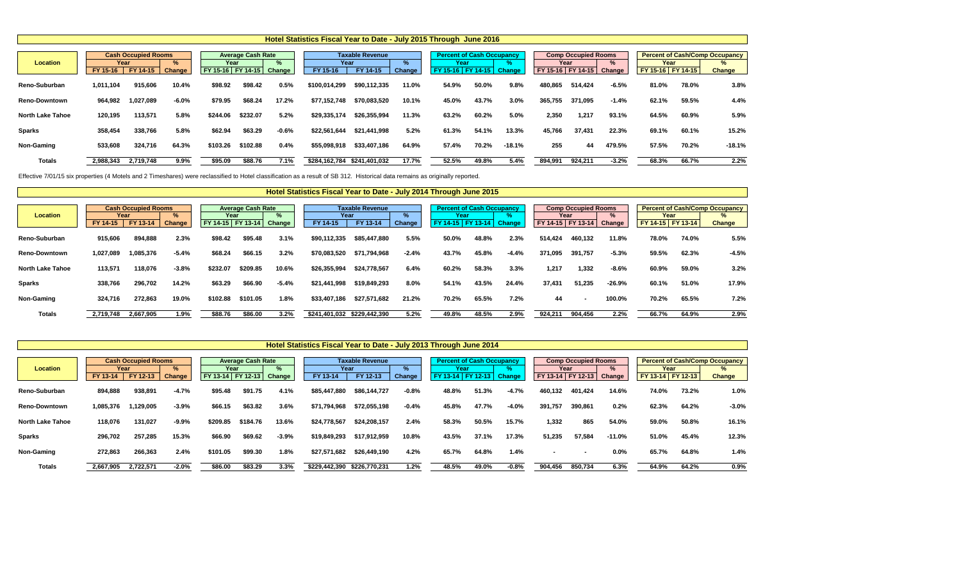Effective 7/01/15 six properties (4 Motels and 2 Timeshares) were reclassified to Hotel classification as a result of SB 312. Historical data remains as originally reported.

|                         |                    |                                        |                         |                                    |                          |               | Hotel Statistics Fiscal Year to Date - July 2015 Through June 2016 |                                    |                       |                             |                                  |               |         |                                                           |             |                             |       |                                                                         |
|-------------------------|--------------------|----------------------------------------|-------------------------|------------------------------------|--------------------------|---------------|--------------------------------------------------------------------|------------------------------------|-----------------------|-----------------------------|----------------------------------|---------------|---------|-----------------------------------------------------------|-------------|-----------------------------|-------|-------------------------------------------------------------------------|
| <b>Location</b>         | Year<br>$FY 15-16$ | <b>Cash Occupied Rooms</b><br>FY 14-15 | $\frac{9}{6}$<br>Change | Year<br>FY 15-16 FY 14-15   Change | <b>Average Cash Rate</b> | $\frac{9}{6}$ | Year<br>FY 15-16                                                   | <b>Taxable Revenue</b><br>FY 14-15 | $\%$<br><b>Change</b> | Year<br>FY 15-16   FY 14-15 | <b>Percent of Cash Occupancy</b> | <b>Change</b> |         | <b>Comp Occupied Rooms</b><br>Year<br>FY 15-16   FY 14-15 | ℅<br>Change | Year<br>FY 15-16   FY 14-15 |       | <b>Percent of Cash/Comp Occupancy</b><br>$\frac{9}{6}$<br><b>Change</b> |
| <b>Reno-Suburban</b>    | 1,011,104          | 915,606                                | 10.4%                   | \$98.92                            | \$98.42                  | 0.5%          | \$100,014,299                                                      | \$90,112,335                       | 11.0%                 | 54.9%                       | 50.0%                            | 9.8%          | 480,865 | 514,424                                                   | $-6.5%$     | 81.0%                       | 78.0% | 3.8%                                                                    |
| <b>Reno-Downtown</b>    | 964,982            | 1,027,089                              | $-6.0\%$                | \$79.95                            | \$68.24                  | 17.2%         | \$77,152,748                                                       | \$70,083,520                       | 10.1%                 | 45.0%                       | 43.7%                            | 3.0%          | 365,755 | 371,095                                                   | $-1.4%$     | 62.1%                       | 59.5% | 4.4%                                                                    |
| <b>North Lake Tahoe</b> | 120,195            | 113,571                                | 5.8%                    | \$244.06                           | \$232.07                 | 5.2%          | \$29,335,174                                                       | \$26,355,994                       | 11.3%                 | 63.2%                       | 60.2%                            | 5.0%          | 2,350   | 1,217                                                     | 93.1%       | 64.5%                       | 60.9% | 5.9%                                                                    |
| <b>Sparks</b>           | 358,454            | 338,766                                | 5.8%                    | \$62.94                            | \$63.29                  | $-0.6%$       | \$22,561,644                                                       | \$21,441,998                       | 5.2%                  | 61.3%                       | 54.1%                            | 13.3%         | 45,766  | 37,431                                                    | 22.3%       | 69.1%                       | 60.1% | 15.2%                                                                   |
| <b>Non-Gaming</b>       | 533,608            | 324,716                                | 64.3%                   | \$103.26                           | \$102.88                 | 0.4%          | \$55,098,918                                                       | \$33,407,186                       | 64.9%                 | 57.4%                       | 70.2%                            | $-18.1%$      | 255     | 44                                                        | 479.5%      | 57.5%                       | 70.2% | $-18.1%$                                                                |
| <b>Totals</b>           | 2,988,343          | 2,719,748                              | $9.9\%$                 | \$95.09                            | \$88.76                  | 7.1%          | \$284,162,784                                                      | \$241,401,032                      | 17.7%                 | 52.5%                       | 49.8%                            | 5.4%          | 894,991 | 924,211                                                   | $-3.2%$     | 68.3%                       | 66.7% | 2.2%                                                                    |

|                         |                    |                                        |             |                                        |                          |         | Hotel Statistics Fiscal Year to Date - July 2014 Through June 2015 |                                            |         |                                                               |       |               |         |                                                         |                |                           |       |                                                             |
|-------------------------|--------------------|----------------------------------------|-------------|----------------------------------------|--------------------------|---------|--------------------------------------------------------------------|--------------------------------------------|---------|---------------------------------------------------------------|-------|---------------|---------|---------------------------------------------------------|----------------|---------------------------|-------|-------------------------------------------------------------|
| <b>Location</b>         | Year<br>$FY 14-15$ | <b>Cash Occupied Rooms</b><br>FY 13-14 | %<br>Change | Year<br>  FY 14-15   FY 13-14   Change | <b>Average Cash Rate</b> | ℅       | FY 14-15                                                           | <b>Taxable Revenue</b><br>Year<br>FY 13-14 | Change  | <b>Percent of Cash Occupancy</b><br>Year<br>FY 14-15 FY 13-14 |       | <b>Change</b> |         | <b>Comp Occupied Rooms</b><br>Year<br>FY 14-15 FY 13-14 | $\%$<br>Change | Year<br>FY 14-15 FY 13-14 |       | <b>Percent of Cash/Comp Occupancy</b><br>%<br><b>Change</b> |
| Reno-Suburban           | 915,606            | 894,888                                | 2.3%        | \$98.42                                | \$95.48                  | 3.1%    | \$90,112,335                                                       | \$85,447,880                               | 5.5%    | 50.0%                                                         | 48.8% | 2.3%          | 514,424 | 460,132                                                 | 11.8%          | 78.0%                     | 74.0% | 5.5%                                                        |
| <b>Reno-Downtown</b>    | 1,027,089          | 1,085,376                              | $-5.4%$     | \$68.24                                | \$66.15                  | 3.2%    | \$70,083,520                                                       | \$71,794,968                               | $-2.4%$ | 43.7%                                                         | 45.8% | $-4.4%$       | 371,095 | 391,757                                                 | $-5.3%$        | 59.5%                     | 62.3% | $-4.5%$                                                     |
| <b>North Lake Tahoe</b> | 113,571            | 118,076                                | $-3.8%$     | \$232.07                               | \$209.85                 | 10.6%   | \$26,355,994                                                       | \$24,778,567                               | 6.4%    | 60.2%                                                         | 58.3% | 3.3%          | 1,217   | 1,332                                                   | $-8.6%$        | 60.9%                     | 59.0% | 3.2%                                                        |
| <b>Sparks</b>           | 338,766            | 296,702                                | 14.2%       | \$63.29                                | \$66.90                  | $-5.4%$ | \$21,441,998                                                       | \$19,849,293                               | 8.0%    | 54.1%                                                         | 43.5% | 24.4%         | 37,431  | 51,235                                                  | $-26.9%$       | 60.1%                     | 51.0% | 17.9%                                                       |
| <b>Non-Gaming</b>       | 324,716            | 272,863                                | 19.0%       | \$102.88                               | \$101.05                 | 1.8%    | \$33,407,186                                                       | \$27,571,682                               | 21.2%   | 70.2%                                                         | 65.5% | 7.2%          | 44      | $\blacksquare$                                          | 100.0%         | 70.2%                     | 65.5% | 7.2%                                                        |
| <b>Totals</b>           | 2,719,748          | 2,667,905                              | 1.9%        | \$88.76                                | \$86.00                  | 3.2%    |                                                                    | \$241,401,032 \$229,442,390                | 5.2%    | 49.8%                                                         | 48.5% | 2.9%          | 924,211 | 904,456                                                 | 2.2%           | 66.7%                     | 64.9% | 2.9%                                                        |

|                         |                  |                                        |                                |                                    |                          |         | Hotel Statistics Fiscal Year to Date - July 2013 Through June 2014 |                                    |         |                           |                                  |                     |         |                                                             |             |                             |       |                                                                |
|-------------------------|------------------|----------------------------------------|--------------------------------|------------------------------------|--------------------------|---------|--------------------------------------------------------------------|------------------------------------|---------|---------------------------|----------------------------------|---------------------|---------|-------------------------------------------------------------|-------------|-----------------------------|-------|----------------------------------------------------------------|
| <b>Location</b>         | Year<br>FY 13-14 | <b>Cash Occupied Rooms</b><br>FY 12-13 | $\frac{9}{6}$<br><b>Change</b> | Year<br>FY 13-14 FY 12-13   Change | <b>Average Cash Rate</b> | $\%$    | Year<br>FY 13-14                                                   | <b>Taxable Revenue</b><br>FY 12-13 | Change  | Year<br>FY 13-14 FY 12-13 | <b>Percent of Cash Occupancy</b> | 70<br><b>Change</b> |         | <b>Comp Occupied Rooms</b><br>Year<br>  FY 13-14   FY 12-13 | %<br>Change | Year<br>FY 13-14   FY 12-13 |       | <b>Percent of Cash/Comp Occupancy</b><br>$\%$<br><b>Change</b> |
| Reno-Suburban           | 894,888          | 938,891                                | $-4.7%$                        | \$95.48                            | \$91.75                  | 4.1%    | \$85,447,880                                                       | \$86,144,727                       | $-0.8%$ | 48.8%                     | 51.3%                            | $-4.7%$             | 460,132 | 401,424                                                     | 14.6%       | 74.0%                       | 73.2% | 1.0%                                                           |
| <b>Reno-Downtown</b>    | 1,085,376        | 1,129,005                              | $-3.9%$                        | \$66.15                            | \$63.82                  | 3.6%    | \$71,794,968                                                       | \$72,055,198                       | $-0.4%$ | 45.8%                     | 47.7%                            | $-4.0%$             | 391,757 | 390,861                                                     | 0.2%        | 62.3%                       | 64.2% | $-3.0%$                                                        |
| <b>North Lake Tahoe</b> | 118,076          | 131,027                                | $-9.9%$                        | \$209.85                           | \$184.76                 | 13.6%   | \$24,778,567                                                       | \$24,208,157                       | 2.4%    | 58.3%                     | 50.5%                            | 15.7%               | 1,332   | 865                                                         | 54.0%       | 59.0%                       | 50.8% | 16.1%                                                          |
| <b>Sparks</b>           | 296,702          | 257,285                                | 15.3%                          | \$66.90                            | \$69.62                  | $-3.9%$ | \$19,849,293                                                       | \$17,912,959                       | 10.8%   | 43.5%                     | 37.1%                            | 17.3%               | 51,235  | 57,584                                                      | $-11.0%$    | 51.0%                       | 45.4% | 12.3%                                                          |
| <b>Non-Gaming</b>       | 272,863          | 266,363                                | 2.4%                           | \$101.05                           | \$99.30                  | 1.8%    | \$27,571,682                                                       | \$26,449,190                       | 4.2%    | 65.7%                     | 64.8%                            | 1.4%                |         | $\overline{\phantom{a}}$                                    | 0.0%        | 65.7%                       | 64.8% | 1.4%                                                           |
| <b>Totals</b>           | 2,667,905        | 2,722,571                              | $-2.0%$                        | \$86.00                            | \$83.29                  | 3.3%    | \$229,442,390 \$226,770,231                                        |                                    | 1.2%    | 48.5%                     | 49.0%                            | $-0.8%$             | 904,456 | 850,734                                                     | 6.3%        | 64.9%                       | 64.2% | 0.9%                                                           |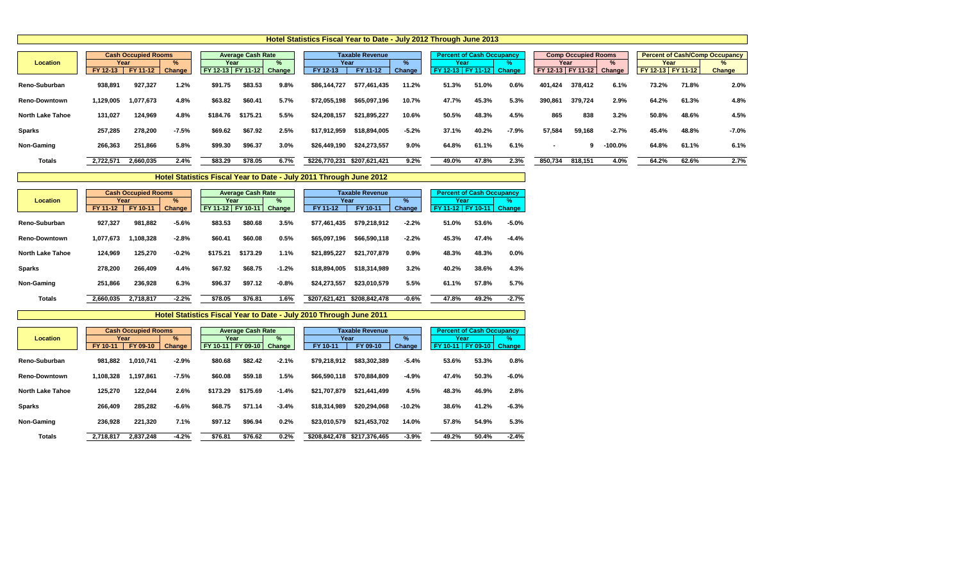|                         |                    |                                        |                         |                           |                          |                | Hotel Statistics Fiscal Year to Date - July 2012 Through June 2013 |                                    |             |       |                                                              |         |         |                                                         |                |                           |       |                                                             |
|-------------------------|--------------------|----------------------------------------|-------------------------|---------------------------|--------------------------|----------------|--------------------------------------------------------------------|------------------------------------|-------------|-------|--------------------------------------------------------------|---------|---------|---------------------------------------------------------|----------------|---------------------------|-------|-------------------------------------------------------------|
| <b>Location</b>         | Year<br>$FY$ 12-13 | <b>Cash Occupied Rooms</b><br>FY 11-12 | $\frac{9}{6}$<br>Change | Year<br>FY 12-13 FY 11-12 | <b>Average Cash Rate</b> | $\%$<br>Change | Year<br>FY 12-13                                                   | <b>Taxable Revenue</b><br>FY 11-12 | %<br>Change | Year  | <b>Percent of Cash Occupancy</b><br>FY 12-13 FY 11-12 Change |         |         | <b>Comp Occupied Rooms</b><br>Year<br>FY 12-13 FY 11-12 | $\%$<br>Change | Year<br>FY 12-13 FY 11-12 |       | <b>Percent of Cash/Comp Occupancy</b><br>%<br><b>Change</b> |
| <b>Reno-Suburban</b>    | 938,891            | 927,327                                | 1.2%                    | \$91.75                   | \$83.53                  | 9.8%           | \$86,144,727                                                       | \$77,461,435                       | 11.2%       | 51.3% | 51.0%                                                        | 0.6%    | 401,424 | 378,412                                                 | 6.1%           | 73.2%                     | 71.8% | 2.0%                                                        |
| <b>Reno-Downtown</b>    | 1,129,005          | 1,077,673                              | 4.8%                    | \$63.82                   | \$60.41                  | 5.7%           | \$72,055,198                                                       | \$65,097,196                       | 10.7%       | 47.7% | 45.3%                                                        | 5.3%    | 390,861 | 379,724                                                 | 2.9%           | 64.2%                     | 61.3% | 4.8%                                                        |
| <b>North Lake Tahoe</b> | 131,027            | 124,969                                | 4.8%                    | \$184.76                  | \$175.21                 | 5.5%           | \$24,208,157                                                       | \$21,895,227                       | 10.6%       | 50.5% | 48.3%                                                        | 4.5%    | 865     | 838                                                     | 3.2%           | 50.8%                     | 48.6% | 4.5%                                                        |
| <b>Sparks</b>           | 257,285            | 278,200                                | $-7.5%$                 | \$69.62                   | \$67.92                  | 2.5%           | \$17,912,959                                                       | \$18,894,005                       | $-5.2%$     | 37.1% | 40.2%                                                        | $-7.9%$ | 57,584  | 59,168                                                  | $-2.7%$        | 45.4%                     | 48.8% | $-7.0%$                                                     |
| <b>Non-Gaming</b>       | 266,363            | 251,866                                | 5.8%                    | \$99.30                   | \$96.37                  | 3.0%           | \$26,449,190                                                       | \$24,273,557                       | $9.0\%$     | 64.8% | 61.1%                                                        | 6.1%    |         | g                                                       | $-100.0\%$     | 64.8%                     | 61.1% | 6.1%                                                        |
| <b>Totals</b>           | 2,722,571          | 2,660,035                              | 2.4%                    | \$83.29                   | \$78.05                  | 6.7%           | \$226,770,231                                                      | \$207,621,421                      | 9.2%        | 49.0% | 47.8%                                                        | 2.3%    | 850,734 | 818,151                                                 | 4.0%           | 64.2%                     | 62.6% | 2.7%                                                        |

|                         |           | <b>Cash Occupied Rooms</b> |         |                   | <b>Average Cash Rate</b> |               |               | <b>Taxable Revenue</b> |               |                      | <b>Percent of Cash Occupancy</b> |               |
|-------------------------|-----------|----------------------------|---------|-------------------|--------------------------|---------------|---------------|------------------------|---------------|----------------------|----------------------------------|---------------|
| <b>Location</b>         |           | Year                       | $\%$    | Year              |                          | $\%$          | Year          |                        | $\frac{9}{6}$ | Year                 |                                  | $\%$          |
|                         | FY 11-12  | FY 10-11                   | Change  | FY 11-12 FY 10-11 |                          | <b>Change</b> | FY 11-12      | FY 10-11               | <b>Change</b> | <b>FY</b><br>$11-12$ | FY 10-11                         | <b>Change</b> |
| Reno-Suburban           | 927,327   | 981,882                    | $-5.6%$ | \$83.53           | \$80.68                  | 3.5%          | \$77,461,435  | \$79,218,912           | $-2.2%$       | 51.0%                | 53.6%                            | $-5.0%$       |
| <b>Reno-Downtown</b>    | 1,077,673 | 1,108,328                  | $-2.8%$ | \$60.41           | \$60.08                  | 0.5%          | \$65,097,196  | \$66,590,118           | $-2.2%$       | 45.3%                | 47.4%                            | $-4.4%$       |
| <b>North Lake Tahoe</b> | 124,969   | 125,270                    | $-0.2%$ | \$175.21          | \$173.29                 | 1.1%          | \$21,895,227  | \$21,707,879           | 0.9%          | 48.3%                | 48.3%                            | $0.0\%$       |
| <b>Sparks</b>           | 278,200   | 266,409                    | 4.4%    | \$67.92           | \$68.75                  | $-1.2%$       | \$18,894,005  | \$18,314,989           | 3.2%          | 40.2%                | 38.6%                            | 4.3%          |
| <b>Non-Gaming</b>       | 251,866   | 236,928                    | 6.3%    | \$96.37           | \$97.12                  | $-0.8%$       | \$24,273,557  | \$23,010,579           | 5.5%          | 61.1%                | 57.8%                            | 5.7%          |
| <b>Totals</b>           | 2,660,035 | 2,718,817                  | $-2.2%$ | \$78.05           | \$76.81                  | 1.6%          | \$207,621,421 | \$208,842,478          | $-0.6%$       | 47.8%                | 49.2%                            | $-2.7%$       |

|                         |           | <b>Cash Occupied Rooms</b> |               |                     | <b>Average Cash Rate</b> |         |               | <b>Taxable Revenue</b> |               | <b>Percent of Cash Occupancy</b> |                  |               |
|-------------------------|-----------|----------------------------|---------------|---------------------|--------------------------|---------|---------------|------------------------|---------------|----------------------------------|------------------|---------------|
| <b>Location</b>         |           | Year                       | %             | Year                |                          | %       |               | Year                   | $\frac{9}{6}$ | Year                             |                  | $\frac{9}{6}$ |
|                         | FY 10-11  | FY 09-10                   | <b>Change</b> | FY 10-11   FY 09-10 |                          | Change  | FY 10-11      | FY 09-10               | <b>Change</b> | <b>FY</b><br>$10 - 11$           | $\sqrt{Y}$ 09-10 | <b>Change</b> |
| Reno-Suburban           | 981,882   | 1,010,741                  | $-2.9%$       | \$80.68             | \$82.42                  | $-2.1%$ | \$79,218,912  | \$83,302,389           | $-5.4%$       | 53.6%                            | 53.3%            | 0.8%          |
| <b>Reno-Downtown</b>    | 1.108.328 | 1,197,861                  | $-7.5%$       | \$60.08             | \$59.18                  | $1.5\%$ | \$66,590,118  | \$70,884,809           | $-4.9%$       | 47.4%                            | 50.3%            | $-6.0%$       |
| <b>North Lake Tahoe</b> | 125,270   | 122,044                    | 2.6%          | \$173.29            | \$175.69                 | $-1.4%$ | \$21,707,879  | \$21,441,499           | 4.5%          | 48.3%                            | 46.9%            | 2.8%          |
| <b>Sparks</b>           | 266,409   | 285,282                    | $-6.6%$       | \$68.75             | \$71.14                  | $-3.4%$ | \$18,314,989  | \$20,294,068           | $-10.2%$      | 38.6%                            | 41.2%            | $-6.3%$       |
| <b>Non-Gaming</b>       | 236,928   | 221,320                    | 7.1%          | \$97.12             | \$96.94                  | 0.2%    | \$23,010,579  | \$21,453,702           | 14.0%         | 57.8%                            | 54.9%            | 5.3%          |
| <b>Totals</b>           | 2,718,817 | 2,837,248                  | $-4.2%$       | \$76.81             | \$76.62                  | 0.2%    | \$208,842,478 | \$217,376,465          | $-3.9%$       | 49.2%                            | 50.4%            | $-2.4%$       |

**Hotel Statistics Fiscal Year to Date - July 2011 Through June 2012**

**Hotel Statistics Fiscal Year to Date - July 2010 Through June 2011**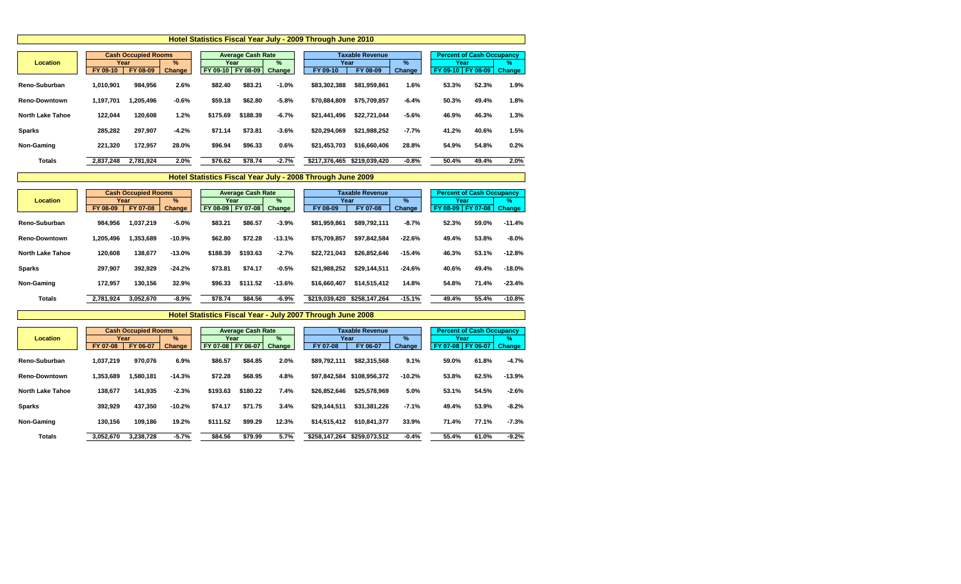|                         |           |                            |               |          |                          |               | Hotel Statistics Fiscal Year July - 2009 Through June 2010 |                        |               |          |                                  |               |
|-------------------------|-----------|----------------------------|---------------|----------|--------------------------|---------------|------------------------------------------------------------|------------------------|---------------|----------|----------------------------------|---------------|
|                         |           | <b>Cash Occupied Rooms</b> |               |          | <b>Average Cash Rate</b> |               |                                                            | <b>Taxable Revenue</b> |               |          | <b>Percent of Cash Occupancy</b> |               |
| <b>Location</b>         |           | Year                       | %             |          | Year                     | $\%$          |                                                            | Year                   | %             |          | Year                             | %             |
|                         | FY 09-10  | FY 08-09                   | <b>Change</b> |          | FY 09-10   FY 08-09      | <b>Change</b> | FY 09-10                                                   | FY 08-09               | <b>Change</b> | FY 09-10 | FY 08-09                         | <b>Change</b> |
| <b>Reno-Suburban</b>    | 1,010,901 | 984,956                    | 2.6%          | \$82.40  | \$83.21                  | $-1.0%$       | \$83,302,388                                               | \$81,959,861           | 1.6%          | 53.3%    | 52.3%                            | 1.9%          |
| <b>Reno-Downtown</b>    | 1,197,701 | 1,205,496                  | $-0.6%$       | \$59.18  | \$62.80                  | $-5.8%$       | \$70,884,809                                               | \$75,709,857           | $-6.4%$       | 50.3%    | 49.4%                            | 1.8%          |
| <b>North Lake Tahoe</b> | 122,044   | 120,608                    | 1.2%          | \$175.69 | \$188.39                 | $-6.7%$       | \$21,441,496                                               | \$22,721,044           | $-5.6%$       | 46.9%    | 46.3%                            | 1.3%          |
| <b>Sparks</b>           | 285,282   | 297,907                    | $-4.2%$       | \$71.14  | \$73.81                  | $-3.6%$       | \$20,294,069                                               | \$21,988,252           | $-7.7%$       | 41.2%    | 40.6%                            | 1.5%          |
| Non-Gaming              | 221,320   | 172,957                    | 28.0%         | \$96.94  | \$96.33                  | 0.6%          | \$21,453,703                                               | \$16,660,406           | 28.8%         | 54.9%    | 54.8%                            | 0.2%          |
| <b>Totals</b>           | 2,837,248 | 2,781,924                  | 2.0%          | \$76.62  | \$78.74                  | $-2.7%$       | \$217,376,465                                              | \$219,039,420          | $-0.8%$       | 50.4%    | 49.4%                            | 2.0%          |

|                         |           | <b>Cash Occupied Rooms</b> |               |                     | <b>Average Cash Rate</b> |               |               | <b>Taxable Revenue</b> |               |       | <b>Percent of Cash Occupancy</b> |               |
|-------------------------|-----------|----------------------------|---------------|---------------------|--------------------------|---------------|---------------|------------------------|---------------|-------|----------------------------------|---------------|
| <b>Location</b>         |           | Year                       | $\frac{9}{6}$ | Year                |                          | $\frac{9}{6}$ | Year          |                        | $\frac{9}{6}$ |       | Year                             | $\frac{9}{6}$ |
|                         | FY 08-09  | FY 07-08                   | <b>Change</b> | FY 08-09   FY 07-08 |                          | <b>Change</b> | FY 08-09      | FY 07-08               | Change        |       | FY 08-09   FY 07-08              | <b>Change</b> |
| <b>Reno-Suburban</b>    | 984,956   | 1,037,219                  | $-5.0%$       | \$83.21             | \$86.57                  | $-3.9%$       | \$81,959,861  | \$89,792,111           | $-8.7%$       | 52.3% | 59.0%                            | $-11.4%$      |
| <b>Reno-Downtown</b>    | 1,205,496 | 1,353,689                  | $-10.9%$      | \$62.80             | \$72.28                  | $-13.1%$      | \$75,709,857  | \$97,842,584           | $-22.6%$      | 49.4% | 53.8%                            | $-8.0%$       |
| <b>North Lake Tahoe</b> | 120,608   | 138,677                    | $-13.0%$      | \$188.39            | \$193.63                 | $-2.7%$       | \$22,721,043  | \$26,852,646           | $-15.4%$      | 46.3% | 53.1%                            | $-12.8%$      |
| <b>Sparks</b>           | 297,907   | 392,929                    | $-24.2%$      | \$73.81             | \$74.17                  | $-0.5%$       | \$21,988,252  | \$29,144,511           | $-24.6%$      | 40.6% | 49.4%                            | $-18.0%$      |
| <b>Non-Gaming</b>       | 172,957   | 130,156                    | 32.9%         | \$96.33             | \$111.52                 | $-13.6%$      | \$16,660,407  | \$14,515,412           | 14.8%         | 54.8% | 71.4%                            | $-23.4%$      |
| <b>Totals</b>           | 2,781,924 | 3,052,670                  | $-8.9%$       | \$78.74             | \$84.56                  | $-6.9%$       | \$219,039,420 | \$258,147,264          | $-15.1%$      | 49.4% | 55.4%                            | $-10.8%$      |

|                         |           | <b>Cash Occupied Rooms</b> |               |                   | <b>Average Cash Rate</b> |               |               | <b>Taxable Revenue</b> |               |                      | <b>Percent of Cash Occupancy</b> |               |
|-------------------------|-----------|----------------------------|---------------|-------------------|--------------------------|---------------|---------------|------------------------|---------------|----------------------|----------------------------------|---------------|
| <b>Location</b>         |           | Year                       | $\frac{9}{6}$ |                   | Year                     | %             |               | Year                   | $\frac{9}{6}$ |                      | Year                             | $\frac{1}{2}$ |
|                         | FY 07-08  | FY 06-07                   | <b>Change</b> | FY 07-08 FY 06-07 |                          | <b>Change</b> | FY 07-08      | FY 06-07               | Change        | <b>FY</b><br>$07-08$ | FY 06-07                         | <b>Change</b> |
| Reno-Suburban           | 1,037,219 | 970,076                    | 6.9%          | \$86.57           | \$84.85                  | 2.0%          | \$89,792,111  | \$82,315,568           | 9.1%          | 59.0%                | 61.8%                            | $-4.7%$       |
| <b>Reno-Downtown</b>    | 1,353,689 | 1,580,181                  | $-14.3%$      | \$72.28           | \$68.95                  | 4.8%          | \$97,842,584  | \$108,956,372          | $-10.2%$      | 53.8%                | 62.5%                            | $-13.9%$      |
| <b>North Lake Tahoe</b> | 138,677   | 141,935                    | $-2.3%$       | \$193.63          | \$180.22                 | 7.4%          | \$26,852,646  | \$25,578,969           | 5.0%          | 53.1%                | 54.5%                            | $-2.6%$       |
| <b>Sparks</b>           | 392,929   | 437,350                    | $-10.2%$      | \$74.17           | \$71.75                  | 3.4%          | \$29,144,511  | \$31,381,226           | $-7.1%$       | 49.4%                | 53.9%                            | $-8.2%$       |
| <b>Non-Gaming</b>       | 130,156   | 109,186                    | 19.2%         | \$111.52          | \$99.29                  | 12.3%         | \$14,515,412  | \$10,841,377           | 33.9%         | 71.4%                | 77.1%                            | $-7.3%$       |
| <b>Totals</b>           | 3,052,670 | 3,238,728                  | $-5.7%$       | \$84.56           | \$79.99                  | 5.7%          | \$258,147,264 | \$259,073,512          | $-0.4%$       | 55.4%                | 61.0%                            | $-9.2%$       |

**Hotel Statistics Fiscal Year - July 2007 Through June 2008**

**Hotel Statistics Fiscal Year July - 2008 Through June 2009**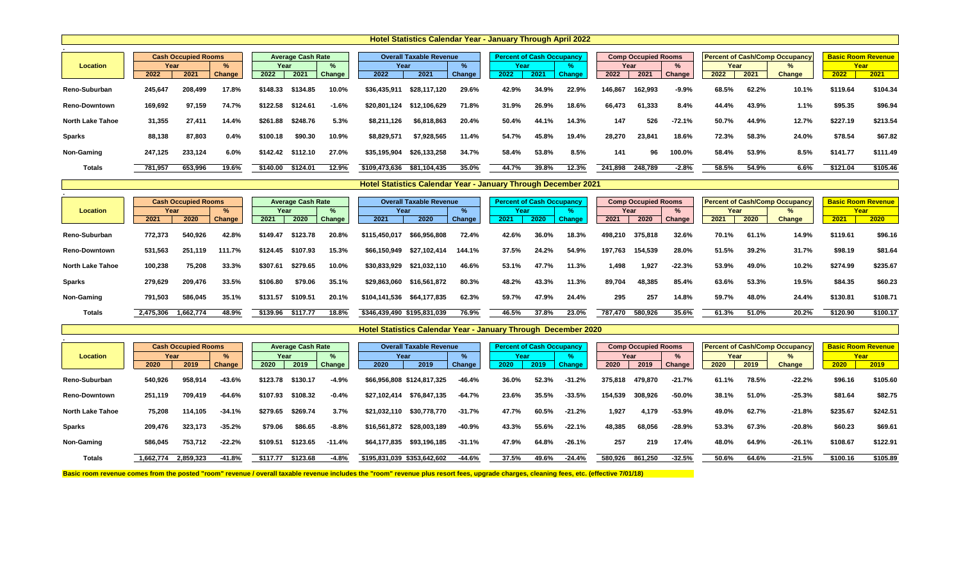|                         |         |                            |               |          |                          |               |               | <b>Hotel Statistics Calendar Year - January Through April 2022</b> |               |                                  |       |               |         |                            |               |       |       |                                       |                           |          |
|-------------------------|---------|----------------------------|---------------|----------|--------------------------|---------------|---------------|--------------------------------------------------------------------|---------------|----------------------------------|-------|---------------|---------|----------------------------|---------------|-------|-------|---------------------------------------|---------------------------|----------|
|                         |         |                            |               |          |                          |               |               |                                                                    |               |                                  |       |               |         |                            |               |       |       |                                       |                           |          |
|                         |         | <b>Cash Occupied Rooms</b> |               |          | <b>Average Cash Rate</b> |               |               | <b>Overall Taxable Revenue</b>                                     |               | <b>Percent of Cash Occupancy</b> |       |               |         | <b>Comp Occupied Rooms</b> |               |       |       | <b>Percent of Cash/Comp Occupancy</b> | <b>Basic Room Revenue</b> |          |
| <b>Location</b>         | Year    |                            | $\frac{9}{6}$ | Year     |                          | $\frac{9}{6}$ | Year          |                                                                    |               | Year                             |       |               |         | Year                       |               | Year  |       | %                                     |                           | Year     |
|                         | 2022    | 2021                       | <b>Change</b> | 2022     | 2021                     | Change        | 2022          | 2021                                                               | <b>Change</b> | 2022                             | 2021  | <b>Change</b> | 2022    | 2021                       | <b>Change</b> | 2022  | 2021  | <b>Change</b>                         | 2022                      | 2021     |
| Reno-Suburban           | 245,647 | 208,499                    | 17.8%         | \$148.33 | \$134.85                 | 10.0%         | \$36,435,911  | \$28,117,120                                                       | 29.6%         | 42.9%                            | 34.9% | 22.9%         | 146,867 | 162,993                    | $-9.9%$       | 68.5% | 62.2% | 10.1%                                 | \$119.64                  | \$104.34 |
| <b>Reno-Downtown</b>    | 169,692 | 97,159                     | 74.7%         | \$122.58 | \$124.61                 | $-1.6%$       | \$20,801,124  | \$12,106,629                                                       | 71.8%         | 31.9%                            | 26.9% | 18.6%         | 66,473  | 61,333                     | 8.4%          | 44.4% | 43.9% | 1.1%                                  | \$95.35                   | \$96.94  |
| <b>North Lake Tahoe</b> | 31,355  | 27,411                     | 14.4%         | \$261.88 | \$248.76                 | 5.3%          | \$8,211,126   | \$6,818,863                                                        | 20.4%         | 50.4%                            | 44.1% | 14.3%         | 147     | 526                        | $-72.1%$      | 50.7% | 44.9% | 12.7%                                 | \$227.19                  | \$213.54 |
| <b>Sparks</b>           | 88,138  | 87,803                     | 0.4%          | \$100.18 | \$90.30                  | 10.9%         | \$8,829,571   | \$7,928,565                                                        | 11.4%         | 54.7%                            | 45.8% | 19.4%         | 28,270  | 23,841                     | 18.6%         | 72.3% | 58.3% | 24.0%                                 | \$78.54                   | \$67.82  |
| <b>Non-Gaming</b>       | 247,125 | 233,124                    | 6.0%          | \$142.42 | \$112.10                 | 27.0%         | \$35,195,904  | \$26,133,258                                                       | 34.7%         | 58.4%                            | 53.8% | 8.5%          | 141     | 96                         | 100.0%        | 58.4% | 53.9% | 8.5%                                  | \$141.77                  | \$111.49 |
| <b>Totals</b>           | 781,957 | 653,996                    | 19.6%         | \$140.00 | \$124.01                 | 12.9%         | \$109,473,636 | \$81,104,435                                                       | 35.0%         | 44.7%                            | 39.8% | 12.3%         | 241,898 | 248,789                    | $-2.8%$       | 58.5% | 54.9% | 6.6%                                  | \$121.04                  | \$105.46 |

|                         |           | <b>Cash Occupied Rooms</b> |        |          | <b>Average Cash Rate</b> |               |               | <b>Overall Taxable Revenue</b> |               | <b>Percent of Cash Occupancy</b> |       |               |         | <b>Comp Occupied Rooms</b> |               |       |       | <b>Percent of Cash/Comp Occupancy</b> | <b>Basic Room Revenue</b> |          |
|-------------------------|-----------|----------------------------|--------|----------|--------------------------|---------------|---------------|--------------------------------|---------------|----------------------------------|-------|---------------|---------|----------------------------|---------------|-------|-------|---------------------------------------|---------------------------|----------|
| <b>Location</b>         | Year      |                            |        | Year     |                          | $\%$          | Year          |                                |               | Year                             |       |               |         | Year                       |               | Year  |       | %                                     | Year                      |          |
|                         | 2021      | 2020                       | Change | 2021     | 2020                     | <b>Change</b> | 2021          | 2020                           | <b>Change</b> | 2021                             | 2020  | <b>Change</b> | 2021    | 2020                       | <b>Change</b> | 2021  | 2020  | <b>Change</b>                         | 2021                      | 2020     |
| Reno-Suburban           | 772,373   | 540,926                    | 42.8%  | \$149.47 | \$123.78                 | 20.8%         | \$115,450,017 | \$66,956,808                   | 72.4%         | 42.6%                            | 36.0% | 18.3%         | 498,210 | 375,818                    | 32.6%         | 70.1% | 61.1% | 14.9%                                 | \$119.61                  | \$96.16  |
| <b>Reno-Downtown</b>    | 531,563   | 251,119                    | 111.7% | \$124.45 | \$107.93                 | 15.3%         | \$66,150,949  | \$27,102,414                   | 144.1%        | 37.5%                            | 24.2% | 54.9%         | 197,763 | 154,539                    | 28.0%         | 51.5% | 39.2% | 31.7%                                 | \$98.19                   | \$81.64  |
| <b>North Lake Tahoe</b> | 100,238   | 75,208                     | 33.3%  | \$307.61 | \$279.65                 | 10.0%         | \$30,833,929  | \$21,032,110                   | 46.6%         | 53.1%                            | 47.7% | 11.3%         | 1,498   | 1,927                      | $-22.3%$      | 53.9% | 49.0% | 10.2%                                 | \$274.99                  | \$235.67 |
| <b>Sparks</b>           | 279,629   | 209,476                    | 33.5%  | \$106.80 | \$79.06                  | 35.1%         | \$29,863,060  | \$16,561,872                   | 80.3%         | 48.2%                            | 43.3% | 11.3%         | 89,704  | 48,385                     | 85.4%         | 63.6% | 53.3% | 19.5%                                 | \$84.35                   | \$60.23  |
| <b>Non-Gaming</b>       | 791,503   | 586,045                    | 35.1%  | \$131.57 | \$109.51                 | 20.1%         | \$104,141,536 | \$64,177,835                   | 62.3%         | 59.7%                            | 47.9% | 24.4%         | 295     | 257                        | 14.8%         | 59.7% | 48.0% | 24.4%                                 | \$130.81                  | \$108.71 |
| <b>Totals</b>           | 2,475,306 | 1,662,774                  | 48.9%  | \$139.96 | \$117.77                 | $18.8\%$      | \$346,439,490 | \$195,831,039                  | 76.9%         | 46.5%                            | 37.8% | 23.0%         | 787,470 | 580,926                    | 35.6%         | 61.3% | 51.0% | 20.2%                                 | \$120.90                  | \$100.17 |

|                         |           | <b>Cash Occupied Rooms</b> |               |          | <b>Average Cash Rate</b> |               |              | <b>Overall Taxable Revenue</b> |               | <b>Percent of Cash Occupancy</b> |       |               |         | <b>Comp Occupied Rooms</b> |               |       |       | <b>Percent of Cash/Comp Occupancy</b> | <b>Basic Room Revenue</b> |          |
|-------------------------|-----------|----------------------------|---------------|----------|--------------------------|---------------|--------------|--------------------------------|---------------|----------------------------------|-------|---------------|---------|----------------------------|---------------|-------|-------|---------------------------------------|---------------------------|----------|
| Location                |           | Year                       | $\frac{9}{6}$ | Year     |                          | $\%$          |              | Year                           |               | Year                             |       |               |         | Year                       | $\frac{0}{2}$ | Year  |       | $\%$                                  | Year                      |          |
|                         | 2020      | 2019                       | Change        | 2020     | 2019                     | <b>Change</b> | 2020         | 2019                           | <b>Change</b> | 2020                             | 2019  | <b>Change</b> | 2020    | 2019                       | <b>Change</b> | 2020  | 2019  | <b>Change</b>                         | 2020                      | 2019     |
| <b>Reno-Suburban</b>    | 540,926   | 958,914                    | $-43.6%$      | \$123.78 | \$130.17                 | $-4.9%$       |              | \$66,956,808 \$124,817,325     | $-46.4%$      | 36.0%                            | 52.3% | $-31.2%$      | 375,818 | 479,870                    | $-21.7%$      | 61.1% | 78.5% | $-22.2%$                              | \$96.16                   | \$105.60 |
| <b>Reno-Downtown</b>    | 251,119   | 709,419                    | $-64.6%$      | \$107.93 | \$108.32                 | $-0.4%$       | \$27,102,414 | \$76,847,135                   | $-64.7%$      | 23.6%                            | 35.5% | $-33.5%$      | 154,539 | 308,926                    | $-50.0%$      | 38.1% | 51.0% | $-25.3%$                              | \$81.64                   | \$82.75  |
| <b>North Lake Tahoe</b> | 75,208    | 114,105                    | $-34.1%$      | \$279.65 | \$269.74                 | 3.7%          | \$21,032,110 | \$30,778,770                   | $-31.7%$      | 47.7%                            | 60.5% | $-21.2%$      | 1,927   | 4,179                      | $-53.9%$      | 49.0% | 62.7% | $-21.8%$                              | \$235.67                  | \$242.51 |
| <b>Sparks</b>           | 209,476   | 323,173                    | $-35.2%$      | \$79.06  | \$86.65                  | $-8.8%$       | \$16,561,872 | \$28,003,189                   | $-40.9%$      | 43.3%                            | 55.6% | $-22.1%$      | 48,385  | 68,056                     | $-28.9%$      | 53.3% | 67.3% | $-20.8%$                              | \$60.23                   | \$69.61  |
| <b>Non-Gaming</b>       | 586,045   | 753,712                    | $-22.2%$      | \$109.51 | \$123.65                 | $-11.4%$      | \$64,177,835 | \$93,196,185                   | $-31.1%$      | 47.9%                            | 64.8% | $-26.1%$      | 257     | 219                        | 17.4%         | 48.0% | 64.9% | $-26.1%$                              | \$108.67                  | \$122.91 |
| <b>Totals</b>           | 1,662,774 | 2,859,323                  | -41.8%        | \$117.77 | \$123.68                 | $-4.8%$       |              | \$195,831,039 \$353,642,602    | $-44.6%$      | 37.5%                            | 49.6% | $-24.4%$      | 580,926 | 861,250                    | $-32.5%$      | 50.6% | 64.6% | $-21.5%$                              | \$100.16                  | \$105.89 |

Basic room revenue comes from the posted "room" revenue / overall taxable revenue includes the "room" revenue plus resort fees, upgrade charges, cleaning fees, etc. (effective 7/01/18)

| <b>Contract Contract Contract Contract Contract Contract Contract Contract Contract Contract Contract Contract Co</b><br><b>CONTRACTOR</b><br>٠ | $\mathcal{L}^{\text{max}}_{\text{max}}$ and $\mathcal{L}^{\text{max}}_{\text{max}}$ and $\mathcal{L}^{\text{max}}_{\text{max}}$<br>$\mathcal{L}(\mathcal{L})$<br>$\mathcal{L}(\mathcal{L})$<br>×.<br><b>STATE</b> |  |
|-------------------------------------------------------------------------------------------------------------------------------------------------|-------------------------------------------------------------------------------------------------------------------------------------------------------------------------------------------------------------------|--|
| . .                                                                                                                                             | . .                                                                                                                                                                                                               |  |

### **Hotel Statistics Calendar Year - January Through December 2021**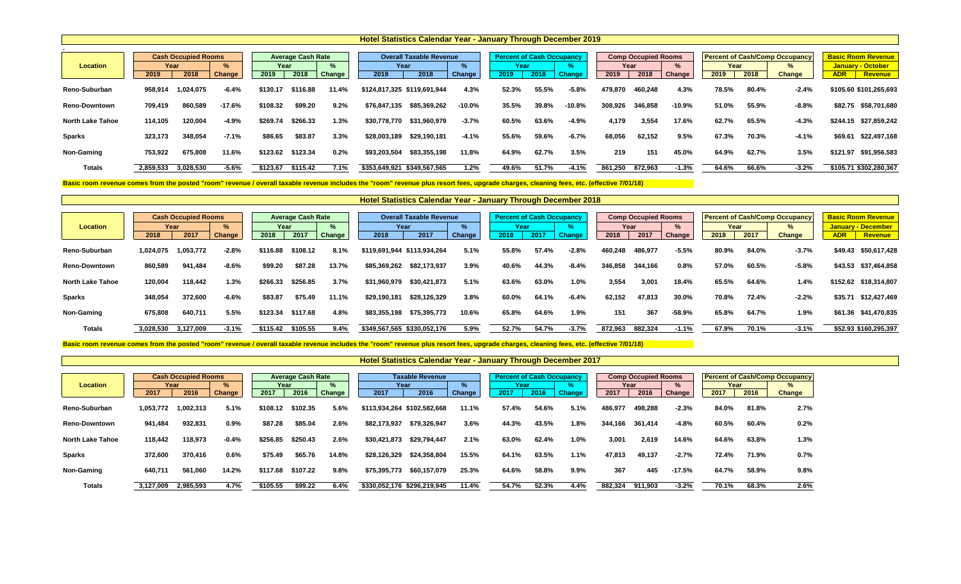|                         |           |                            |               |          |                          |        | <b>Hotel Statistics Calendar Year - January Through December 2019</b> |                                |          |                                  |       |               |         |                            |               |       |       |                                       |                           |
|-------------------------|-----------|----------------------------|---------------|----------|--------------------------|--------|-----------------------------------------------------------------------|--------------------------------|----------|----------------------------------|-------|---------------|---------|----------------------------|---------------|-------|-------|---------------------------------------|---------------------------|
|                         |           |                            |               |          |                          |        |                                                                       |                                |          |                                  |       |               |         |                            |               |       |       |                                       |                           |
|                         |           | <b>Cash Occupied Rooms</b> |               |          | <b>Average Cash Rate</b> |        |                                                                       | <b>Overall Taxable Revenue</b> |          | <b>Percent of Cash Occupancy</b> |       |               |         | <b>Comp Occupied Rooms</b> |               |       |       | <b>Percent of Cash/Comp Occupancy</b> | <b>Basic Room Revenue</b> |
| <b>Location</b>         |           | Year                       | $\frac{9}{6}$ | Year     |                          | $\%$   | Year                                                                  |                                |          | Year                             |       |               |         | Year                       | ℅             | Year  |       | $\%$                                  | <b>January - October</b>  |
|                         | 2019      | 2018                       | Change        | 2019     | 2018                     | Change | 2019                                                                  | 2018                           | Change   | 2019                             | 2018  | <b>Change</b> | 2019    | 2018                       | <b>Change</b> | 2019  | 2018  | <b>Change</b>                         | <b>ADR</b><br>Revenue     |
| Reno-Suburban           | 958,914   | 1,024,075                  | $-6.4%$       | \$130.17 | \$116.88                 | 11.4%  | \$124,817,325 \$119,691,944                                           |                                | 4.3%     | 52.3%                            | 55.5% | $-5.8%$       | 479,870 | 460,248                    | 4.3%          | 78.5% | 80.4% | $-2.4%$                               | \$105.60 \$101,265,693    |
| <b>Reno-Downtown</b>    | 709,419   | 860,589                    | $-17.6%$      | \$108.32 | \$99.20                  | 9.2%   | \$76,847,135                                                          | \$85,369,262                   | $-10.0%$ | 35.5%                            | 39.8% | $-10.8%$      | 308,926 | 346,858                    | $-10.9%$      | 51.0% | 55.9% | $-8.8%$                               | \$82.75<br>\$58,701,680   |
| <b>North Lake Tahoe</b> | 114,105   | 120,004                    | $-4.9%$       | \$269.74 | \$266.33                 | 1.3%   | \$30,778,770                                                          | \$31,960,979                   | $-3.7%$  | 60.5%                            | 63.6% | $-4.9%$       | 4,179   | 3,554                      | 17.6%         | 62.7% | 65.5% | $-4.3%$                               | \$244.15 \$27,859,242     |
| <b>Sparks</b>           | 323,173   | 348,054                    | $-7.1%$       | \$86.65  | \$83.87                  | 3.3%   | \$28,003,189                                                          | \$29,190,181                   | $-4.1%$  | 55.6%                            | 59.6% | $-6.7%$       | 68,056  | 62,152                     | 9.5%          | 67.3% | 70.3% | $-4.1%$                               | \$69.61<br>\$22,497,168   |
| Non-Gaming              | 753,922   | 675,808                    | 11.6%         | \$123.62 | \$123.34                 | 0.2%   | \$93,203,504                                                          | \$83,355,198                   | 11.8%    | 64.9%                            | 62.7% | 3.5%          | 219     | 151                        | 45.0%         | 64.9% | 62.7% | 3.5%                                  | \$121.97<br>\$91,956,583  |
| <b>Totals</b>           | 2,859,533 | 3,028,530                  | $-5.6%$       | \$123.67 | \$115.42                 | 7.1%   | \$353,649,921                                                         | \$349,567,565                  | 1.2%     | 49.6%                            | 51.7% | $-4.1%$       | 861,250 | 872,963                    | $-1.3%$       | 64.6% | 66.6% | $-3.2%$                               | \$105.71 \$302,280,367    |

Basic room revenue comes from the posted "room" revenue / overall taxable revenue includes the "room" revenue plus resort fees, upgrade charges, cleaning fees, etc. (effective 7/01/18)

|                         |           | <b>Cash Occupied Rooms</b> |               |          | <b>Average Cash Rate</b> |        |                             | <b>Overall Taxable Revenue</b> |        | <b>Percent of Cash Occupancy</b> |       |               |         | <b>Comp Occupied Rooms</b> |          |       |       | <b>Percent of Cash/Comp Occupancy</b> |            | <b>Basic Room Revenue</b> |
|-------------------------|-----------|----------------------------|---------------|----------|--------------------------|--------|-----------------------------|--------------------------------|--------|----------------------------------|-------|---------------|---------|----------------------------|----------|-------|-------|---------------------------------------|------------|---------------------------|
| <b>Location</b>         | Year      |                            | $\frac{9}{6}$ | Year     |                          | $\%$   | Year                        |                                |        | Year                             |       |               |         | Year                       |          | Year  |       |                                       |            | January - December        |
|                         | 2018      | 2017                       | <b>Change</b> | 2018     | 2017                     | Change | 2018                        | 2017                           | Change | 2018                             | 2017  | <b>Change</b> | 2018    | 2017                       | Change   | 2018  | 2017  | <b>Change</b>                         | <b>ADR</b> | Revenue                   |
| Reno-Suburban           | 1,024,075 | ,053,772                   | $-2.8%$       | \$116.88 | \$108.12                 | 8.1%   | \$119,691,944 \$113,934,264 |                                | 5.1%   | 55.8%                            | 57.4% | $-2.8%$       | 460,248 | 486,977                    | $-5.5%$  | 80.9% | 84.0% | $-3.7%$                               | \$49.43    | \$50,617,428              |
| <b>Reno-Downtown</b>    | 860,589   | 941,484                    | $-8.6%$       | \$99.20  | \$87.28                  | 13.7%  | \$85,369,262                | \$82,173,937                   | 3.9%   | 40.6%                            | 44.3% | $-8.4%$       | 346,858 | 344,166                    | 0.8%     | 57.0% | 60.5% | $-5.8%$                               | \$43.53    | \$37,464,858              |
| <b>North Lake Tahoe</b> | 120,004   | 118,442                    | 1.3%          | \$266.33 | \$256.85                 | 3.7%   | \$31,960,979                | \$30,421,873                   | 5.1%   | 63.6%                            | 63.0% | 1.0%          | 3,554   | 3,001                      | 18.4%    | 65.5% | 64.6% | 1.4%                                  | \$152.62   | \$18,314,807              |
| <b>Sparks</b>           | 348,054   | 372,600                    | $-6.6%$       | \$83.87  | \$75.49                  | 11.1%  | \$29,190,181                | \$28,126,329                   | 3.8%   | 60.0%                            | 64.1% | $-6.4%$       | 62,152  | 47,813                     | 30.0%    | 70.8% | 72.4% | $-2.2%$                               | \$35.71    | \$12,427,469              |
| <b>Non-Gaming</b>       | 675,808   | 640,711                    | 5.5%          | \$123.34 | \$117.68                 | 4.8%   | \$83,355,198                | \$75,395,773                   | 10.6%  | 65.8%                            | 64.6% | 1.9%          | 151     | 367                        | $-58.9%$ | 65.8% | 64.7% | 1.9%                                  | \$61.36    | \$41,470,835              |
| <b>Totals</b>           | 3,028,530 | 3,127,009                  | $-3.1%$       | \$115.42 | \$105.55                 | 9.4%   | \$349,567,565 \$330,052,176 |                                | 5.9%   | 52.7%                            | 54.7% | $-3.7%$       | 872,963 | 882,324                    | $-1.1%$  | 67.9% | 70.1% | $-3.1%$                               |            | \$52.93 \$160,295,397     |

Basic room revenue comes from the posted "room" revenue / overall taxable revenue includes the "room" revenue plus resort fees, upgrade charges, cleaning fees, etc. (effective 7/01/18)

| <b>Location</b>         | Year      | <b>Cash Occupied Rooms</b> | %             | Year     | <b>Average Cash Rate</b> | $\%$          | Year                        | <b>Taxable Revenue</b> | $\frac{1}{2}$ | <b>Percent of Cash Occupancy</b><br>Year |       |               |         | <b>Comp Occupied Rooms</b><br>Year | %        | Year  |       | <b>Percent of Cash/Comp Occupancy</b><br>% |
|-------------------------|-----------|----------------------------|---------------|----------|--------------------------|---------------|-----------------------------|------------------------|---------------|------------------------------------------|-------|---------------|---------|------------------------------------|----------|-------|-------|--------------------------------------------|
|                         | 2017      | 2016                       | <b>Change</b> | 2017     | 2016                     | <b>Change</b> | 2017                        | 2016                   | Change        | 2017                                     | 2016  | <b>Change</b> | 2017    | 2016                               | Change   | 2017  | 2016  | <b>Change</b>                              |
| <b>Reno-Suburban</b>    | 1,053,772 | 1,002,313                  | 5.1%          | \$108.12 | \$102.35                 | 5.6%          | \$113,934,264 \$102,582,668 |                        | 11.1%         | 57.4%                                    | 54.6% | 5.1%          | 486,97  | 498,288                            | $-2.3%$  | 84.0% | 81.8% | 2.7%                                       |
| <b>Reno-Downtown</b>    | 941,484   | 932,831                    | 0.9%          | \$87.28  | \$85.04                  | 2.6%          | \$82,173,937                | \$79,326,947           | 3.6%          | 44.3%                                    | 43.5% | 1.8%          | 344,166 | 361,414                            | $-4.8%$  | 60.5% | 60.4% | 0.2%                                       |
| <b>North Lake Tahoe</b> | 118,442   | 118,973                    | $-0.4%$       | \$256.85 | \$250.43                 | 2.6%          | \$30,421,873                | \$29,794,447           | 2.1%          | 63.0%                                    | 62.4% | 1.0%          | 3,001   | 2,619                              | 14.6%    | 64.6% | 63.8% | 1.3%                                       |
| <b>Sparks</b>           | 372,600   | 370,416                    | 0.6%          | \$75.49  | \$65.76                  | 14.8%         | \$28,126,329                | \$24,358,804           | 15.5%         | 64.1%                                    | 63.5% | 1.1%          | 47,813  | 49,137                             | $-2.7%$  | 72.4% | 71.9% | 0.7%                                       |
| <b>Non-Gaming</b>       | 640,711   | 561,060                    | 14.2%         | \$117.68 | \$107.22                 | 9.8%          | \$75,395,773                | \$60,157,079           | 25.3%         | 64.6%                                    | 58.8% | 9.9%          | 367     | 445                                | $-17.5%$ | 64.7% | 58.9% | 9.8%                                       |
| <b>Totals</b>           | 3,127,009 | 2,985,593                  | 4.7%          | \$105.55 | \$99.22                  | 6.4%          | \$330,052,176               | \$296,219,945          | 11.4%         | 54.7%                                    | 52.3% | 4.4%          | 882,324 | 911,903                            | $-3.2%$  | 70.1% | 68.3% | 2.6%                                       |

### **Hotel Statistics Calendar Year - January Through December 2018**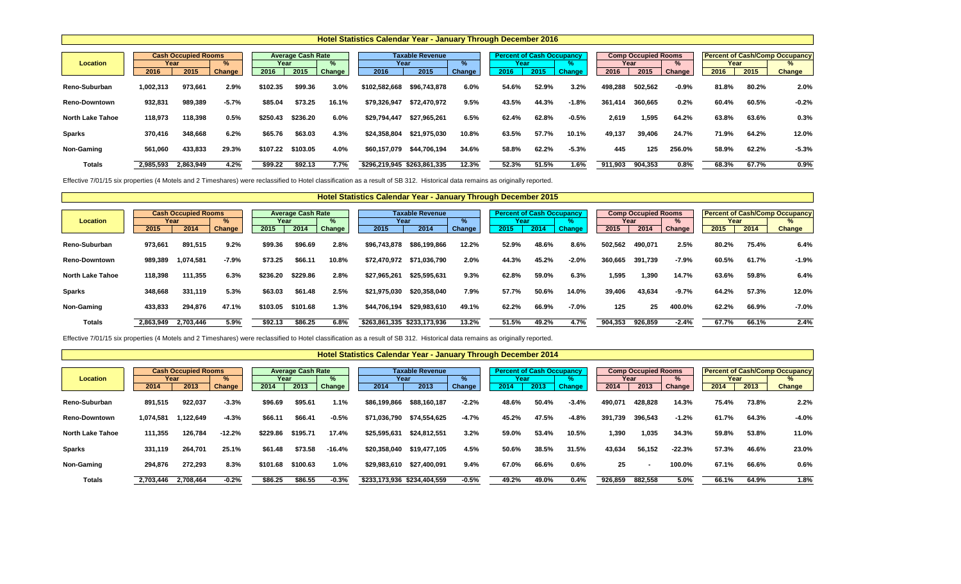Effective 7/01/15 six properties (4 Motels and 2 Timeshares) were reclassified to Hotel classification as a result of SB 312. Historical data remains as originally reported.

|                         |              |                                    |                    |              |                                  |             | Hotel Statistics Calendar Year - January Through December 2016 |                                |             |                                                  |       |                      |         |                                            |             |              |       |                                                             |
|-------------------------|--------------|------------------------------------|--------------------|--------------|----------------------------------|-------------|----------------------------------------------------------------|--------------------------------|-------------|--------------------------------------------------|-------|----------------------|---------|--------------------------------------------|-------------|--------------|-------|-------------------------------------------------------------|
| <b>Location</b>         | Year<br>2016 | <b>Cash Occupied Rooms</b><br>2015 | %<br><b>Change</b> | Year<br>2016 | <b>Average Cash Rate</b><br>2015 | %<br>Change | Year<br>2016                                                   | <b>Taxable Revenue</b><br>2015 | ℅<br>Change | <b>Percent of Cash Occupancy</b><br>Year<br>2016 | 2015  | 70.<br><b>Change</b> | 2016    | <b>Comp Occupied Rooms</b><br>Year<br>2015 | %<br>Change | Year<br>2016 | 2015  | <b>Percent of Cash/Comp Occupancy</b><br>%<br><b>Change</b> |
| <b>Reno-Suburban</b>    | 1,002,313    | 973,661                            | 2.9%               | \$102.35     | \$99.36                          | 3.0%        | \$102,582,668                                                  | \$96,743,878                   | 6.0%        | 54.6%                                            | 52.9% | 3.2%                 | 498,288 | 502,562                                    | $-0.9\%$    | 81.8%        | 80.2% | 2.0%                                                        |
| <b>Reno-Downtown</b>    | 932,831      | 989,389                            | $-5.7%$            | \$85.04      | \$73.25                          | 16.1%       | \$79,326,947                                                   | \$72,470,972                   | 9.5%        | 43.5%                                            | 44.3% | $-1.8%$              | 361,414 | 360,665                                    | 0.2%        | 60.4%        | 60.5% | $-0.2%$                                                     |
| <b>North Lake Tahoe</b> | 118,973      | 118,398                            | 0.5%               | \$250.43     | \$236.20                         | 6.0%        | \$29,794,447                                                   | \$27,965,261                   | 6.5%        | 62.4%                                            | 62.8% | $-0.5%$              | 2,619   | 1,595                                      | 64.2%       | 63.8%        | 63.6% | 0.3%                                                        |
| <b>Sparks</b>           | 370,416      | 348,668                            | 6.2%               | \$65.76      | \$63.03                          | 4.3%        | \$24,358,804                                                   | \$21,975,030                   | 10.8%       | 63.5%                                            | 57.7% | 10.1%                | 49,137  | 39,406                                     | 24.7%       | 71.9%        | 64.2% | 12.0%                                                       |
| Non-Gaming              | 561,060      | 433,833                            | 29.3%              | \$107.22     | \$103.05                         | 4.0%        | \$60,157,079                                                   | \$44,706,194                   | 34.6%       | 58.8%                                            | 62.2% | $-5.3%$              | 445     | 125                                        | 256.0%      | 58.9%        | 62.2% | $-5.3%$                                                     |
| <b>Totals</b>           | 2,985,593    | 2,863,949                          | 4.2%               | \$99.22      | \$92.13                          | 7.7%        | \$296,219,945 \$263,861,335                                    |                                | 12.3%       | 52.3%                                            | 51.5% | 1.6%                 | 911,903 | 904,353                                    | 0.8%        | 68.3%        | 67.7% | 0.9%                                                        |

Effective 7/01/15 six properties (4 Motels and 2 Timeshares) were reclassified to Hotel classification as a result of SB 312. Historical data remains as originally reported.

 $\Gamma$ 

|                         |           | <b>Cash Occupied Rooms</b> |         |          | <b>Average Cash Rate</b> |        |                             | <b>Taxable Revenue</b> |        |       | <b>Percent of Cash Occupancy</b> |               |         | <b>Comp Occupied Rooms</b> |               |       |       | <b>Percent of Cash/Comp Occupancy</b> |
|-------------------------|-----------|----------------------------|---------|----------|--------------------------|--------|-----------------------------|------------------------|--------|-------|----------------------------------|---------------|---------|----------------------------|---------------|-------|-------|---------------------------------------|
| <b>Location</b>         | Year      |                            | $\%$    | Year     |                          |        | Year                        |                        | ℅      | Year  |                                  |               |         | Year                       | $\frac{1}{2}$ | Year  |       | $\%$                                  |
|                         | 2015      | 2014                       | Change  | 2015     | 2014                     | Change | 2015                        | 2014                   | Change | 2015  | 2014                             | <b>Change</b> | 2015    | 2014                       | Change        | 2015  | 2014  | <b>Change</b>                         |
| Reno-Suburban           | 973,661   | 891,515                    | 9.2%    | \$99.36  | \$96.69                  | 2.8%   | \$96,743,878                | \$86,199,866           | 12.2%  | 52.9% | 48.6%                            | 8.6%          | 502,562 | 490,071                    | 2.5%          | 80.2% | 75.4% | 6.4%                                  |
| <b>Reno-Downtown</b>    | 989,389   | 1,074,581                  | $-7.9%$ | \$73.25  | \$66.11                  | 10.8%  | \$72,470,972                | \$71,036,790           | 2.0%   | 44.3% | 45.2%                            | $-2.0%$       | 360,665 | 391,739                    | $-7.9%$       | 60.5% | 61.7% | $-1.9%$                               |
| <b>North Lake Tahoe</b> | 118,398   | 111,355                    | 6.3%    | \$236.20 | \$229.86                 | 2.8%   | \$27,965,261                | \$25,595,631           | 9.3%   | 62.8% | 59.0%                            | 6.3%          | 1,595   | 1,390                      | 14.7%         | 63.6% | 59.8% | 6.4%                                  |
| <b>Sparks</b>           | 348,668   | 331,119                    | 5.3%    | \$63.03  | \$61.48                  | 2.5%   | \$21,975,030                | \$20,358,040           | 7.9%   | 57.7% | 50.6%                            | 14.0%         | 39,406  | 43,634                     | $-9.7%$       | 64.2% | 57.3% | 12.0%                                 |
| Non-Gaming              | 433,833   | 294,876                    | 47.1%   | \$103.05 | \$101.68                 | 1.3%   | \$44,706,194                | \$29,983,610           | 49.1%  | 62.2% | 66.9%                            | $-7.0\%$      | 125     | 25                         | 400.0%        | 62.2% | 66.9% | $-7.0%$                               |
| <b>Totals</b>           | 2,863,949 | 2,703,446                  | 5.9%    | \$92.13  | \$86.25                  | 6.8%   | \$263,861,335 \$233,173,936 |                        | 13.2%  | 51.5% | 49.2%                            | 4.7%          | 904,353 | 926,859                    | $-2.4%$       | 67.7% | 66.1% | 2.4%                                  |

|                         |           |                            |          |          |                          |          | <b>TIVIOI UMHUHUU UMHUHUMI TUMI VMHUMI J'IIII UMMII DUUUIIINUI EUTT</b> |                             |               |       |                                  |               |         |                            |          |       |       |                                       |
|-------------------------|-----------|----------------------------|----------|----------|--------------------------|----------|-------------------------------------------------------------------------|-----------------------------|---------------|-------|----------------------------------|---------------|---------|----------------------------|----------|-------|-------|---------------------------------------|
|                         |           |                            |          |          |                          |          |                                                                         |                             |               |       |                                  |               |         |                            |          |       |       |                                       |
|                         |           | <b>Cash Occupied Rooms</b> |          |          | <b>Average Cash Rate</b> |          |                                                                         | <b>Taxable Revenue</b>      |               |       | <b>Percent of Cash Occupancy</b> |               |         | <b>Comp Occupied Rooms</b> |          |       |       | <b>Percent of Cash/Comp Occupancy</b> |
| <b>Location</b>         |           | Year                       | %        | Year     |                          | ℅        |                                                                         | Year                        | %             | Year  |                                  |               |         | Year                       | $\%$     | Year  |       | $\%$                                  |
|                         | 2014      | 2013                       | Change   | 2014     | 2013                     | Change   | 2014                                                                    | 2013                        | <b>Change</b> | 2014  | 2013                             | <b>Change</b> | 2014    | 2013                       | Change   | 2014  | 2013  | <b>Change</b>                         |
| <b>Reno-Suburban</b>    | 891,515   | 922,037                    | $-3.3%$  | \$96.69  | \$95.61                  | 1.1%     | \$86,199,866                                                            | \$88,160,187                | $-2.2%$       | 48.6% | 50.4%                            | $-3.4%$       | 490,071 | 428,828                    | 14.3%    | 75.4% | 73.8% | 2.2%                                  |
| <b>Reno-Downtown</b>    | 1,074,581 | 1,122,649                  | $-4.3%$  | \$66.11  | \$66.41                  | $-0.5%$  | \$71,036,790                                                            | \$74,554,625                | $-4.7%$       | 45.2% | 47.5%                            | $-4.8%$       | 391,739 | 396,543                    | $-1.2%$  | 61.7% | 64.3% | $-4.0%$                               |
| <b>North Lake Tahoe</b> | 111,355   | 126,784                    | $-12.2%$ | \$229.86 | \$195.71                 | 17.4%    | \$25,595,631                                                            | \$24,812,551                | 3.2%          | 59.0% | 53.4%                            | 10.5%         | 1,390   | 1,035                      | 34.3%    | 59.8% | 53.8% | 11.0%                                 |
| <b>Sparks</b>           | 331,119   | 264,701                    | 25.1%    | \$61.48  | \$73.58                  | $-16.4%$ | \$20,358,040                                                            | \$19,477,105                | 4.5%          | 50.6% | 38.5%                            | 31.5%         | 43,634  | 56,152                     | $-22.3%$ | 57.3% | 46.6% | 23.0%                                 |
| <b>Non-Gaming</b>       | 294,876   | 272,293                    | 8.3%     | \$101.68 | \$100.63                 | 1.0%     | \$29,983,610                                                            | \$27,400,091                | 9.4%          | 67.0% | 66.6%                            | 0.6%          | 25      | $\blacksquare$             | 100.0%   | 67.1% | 66.6% | 0.6%                                  |
| <b>Totals</b>           | 2,703,446 | 2,708,464                  | $-0.2%$  | \$86.25  | \$86.55                  | $-0.3%$  |                                                                         | \$233,173,936 \$234,404,559 | $-0.5%$       | 49.2% | 49.0%                            | 0.4%          | 926,859 | 882,558                    | 5.0%     | 66.1% | 64.9% | 1.8%                                  |

### **Hotel Statistics Calendar Year - January Through December 2015**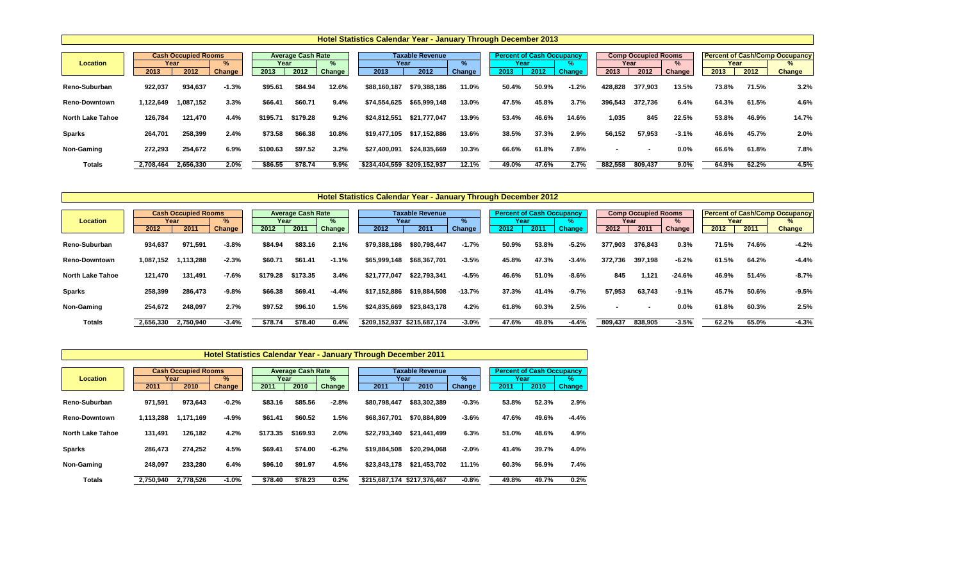|                         |           |                                            |                |              |                                  |             | <b>Hotel Statistics Calendar Year - January Through December 2013</b> |                                        |                    |                                                  |       |               |                |                                            |                |              |       |                                                             |
|-------------------------|-----------|--------------------------------------------|----------------|--------------|----------------------------------|-------------|-----------------------------------------------------------------------|----------------------------------------|--------------------|--------------------------------------------------|-------|---------------|----------------|--------------------------------------------|----------------|--------------|-------|-------------------------------------------------------------|
| <b>Location</b>         | 2013      | <b>Cash Occupied Rooms</b><br>Year<br>2012 | $\%$<br>Change | Year<br>2013 | <b>Average Cash Rate</b><br>2012 | %<br>Change | 2013                                                                  | <b>Taxable Revenue</b><br>Year<br>2012 | ℅<br><b>Change</b> | <b>Percent of Cash Occupancy</b><br>Year<br>2013 | 2012  | <b>Change</b> | 2013           | <b>Comp Occupied Rooms</b><br>Year<br>2012 | $\%$<br>Change | Year<br>2013 | 2012  | <b>Percent of Cash/Comp Occupancy</b><br>%<br><b>Change</b> |
| Reno-Suburban           | 922,037   | 934,637                                    | $-1.3%$        | \$95.61      | \$84.94                          | 12.6%       | \$88,160,187                                                          | \$79,388,186                           | 11.0%              | 50.4%                                            | 50.9% | $-1.2%$       | 428,828        | 377,903                                    | 13.5%          | 73.8%        | 71.5% | 3.2%                                                        |
| <b>Reno-Downtown</b>    | 1,122,649 | 1,087,152                                  | 3.3%           | \$66.41      | \$60.71                          | 9.4%        | \$74,554,625                                                          | \$65,999,148                           | 13.0%              | 47.5%                                            | 45.8% | 3.7%          | 396,543        | 372,736                                    | 6.4%           | 64.3%        | 61.5% | 4.6%                                                        |
| <b>North Lake Tahoe</b> | 126,784   | 121,470                                    | 4.4%           | \$195.71     | \$179.28                         | 9.2%        | \$24,812,551                                                          | \$21,777,047                           | 13.9%              | 53.4%                                            | 46.6% | 14.6%         | 1,035          | 845                                        | 22.5%          | 53.8%        | 46.9% | 14.7%                                                       |
| <b>Sparks</b>           | 264,701   | 258,399                                    | 2.4%           | \$73.58      | \$66.38                          | 10.8%       | \$19,477,105                                                          | \$17,152,886                           | 13.6%              | 38.5%                                            | 37.3% | 2.9%          | 56,152         | 57,953                                     | $-3.1%$        | 46.6%        | 45.7% | 2.0%                                                        |
| Non-Gaming              | 272,293   | 254,672                                    | 6.9%           | \$100.63     | \$97.52                          | 3.2%        | \$27,400,091                                                          | \$24,835,669                           | 10.3%              | 66.6%                                            | 61.8% | 7.8%          | $\blacksquare$ | $\blacksquare$                             | $0.0\%$        | 66.6%        | 61.8% | 7.8%                                                        |
| <b>Totals</b>           | 2,708,464 | 2,656,330                                  | 2.0%           | \$86.55      | \$78.74                          | $9.9\%$     | \$234,404,559 \$209,152,937                                           |                                        | 12.1%              | 49.0%                                            | 47.6% | 2.7%          | 882,558        | 809,437                                    | $9.0\%$        | 64.9%        | 62.2% | 4.5%                                                        |

|                         |           | <b>Cash Occupied Rooms</b> |         |          |                                       |         |                                |               |          |                                          |       |               |                | <b>Percent of Cash/Comp Occupancy</b> |                         |       |       |                    |
|-------------------------|-----------|----------------------------|---------|----------|---------------------------------------|---------|--------------------------------|---------------|----------|------------------------------------------|-------|---------------|----------------|---------------------------------------|-------------------------|-------|-------|--------------------|
| <b>Location</b>         | Year      |                            | %       |          | <b>Average Cash Rate</b><br>℅<br>Year |         | <b>Taxable Revenue</b><br>Year |               | ℅        | <b>Percent of Cash Occupancy</b><br>Year |       |               |                | <b>Comp Occupied Rooms</b><br>Year    |                         |       | Year  |                    |
|                         | 2012      | 2011                       | Change  | 2012     | 2011                                  | Change  | 2012                           | 2011          | Change   | 2012                                     | 2011  | <b>Change</b> | 2012           | 2011                                  | $\frac{1}{2}$<br>Change | 2012  | 2011  | %<br><b>Change</b> |
|                         |           |                            |         |          |                                       |         |                                |               |          |                                          |       |               |                |                                       |                         |       |       |                    |
| Reno-Suburban           | 934,637   | 971,591                    | $-3.8%$ | \$84.94  | \$83.16                               | 2.1%    | \$79,388,186                   | \$80,798,447  | $-1.7%$  | 50.9%                                    | 53.8% | $-5.2%$       | 377,903        | 376,843                               | 0.3%                    | 71.5% | 74.6% | $-4.2%$            |
| <b>Reno-Downtown</b>    | 1,087,152 | 1,113,288                  | $-2.3%$ | \$60.71  | \$61.41                               | $-1.1%$ | \$65,999,148                   | \$68,367,701  | $-3.5%$  | 45.8%                                    | 47.3% | $-3.4%$       | 372,736        | 397,198                               | $-6.2%$                 | 61.5% | 64.2% | $-4.4%$            |
| <b>North Lake Tahoe</b> | 121,470   | 131,491                    | $-7.6%$ | \$179.28 | \$173.35                              | 3.4%    | \$21,777,047                   | \$22,793,341  | $-4.5%$  | 46.6%                                    | 51.0% | $-8.6%$       | 845            | 1,121                                 | $-24.6%$                | 46.9% | 51.4% | $-8.7%$            |
| <b>Sparks</b>           | 258,399   | 286,473                    | $-9.8%$ | \$66.38  | \$69.41                               | $-4.4%$ | \$17,152,886                   | \$19,884,508  | $-13.7%$ | 37.3%                                    | 41.4% | $-9.7%$       | 57,953         | 63,743                                | $-9.1%$                 | 45.7% | 50.6% | $-9.5%$            |
| <b>Non-Gaming</b>       | 254,672   | 248,097                    | 2.7%    | \$97.52  | \$96.10                               | 1.5%    | \$24,835,669                   | \$23,843,178  | 4.2%     | 61.8%                                    | 60.3% | 2.5%          | $\blacksquare$ | $\overline{\phantom{0}}$              | $0.0\%$                 | 61.8% | 60.3% | 2.5%               |
| <b>Totals</b>           | 2,656,330 | 2,750,940                  | $-3.4%$ | \$78.74  | \$78.40                               | 0.4%    | \$209,152,937                  | \$215,687,174 | $-3.0%$  | 47.6%                                    | 49.8% | $-4.4%$       | 809,437        | 838,905                               | $-3.5%$                 | 62.2% | 65.0% | $-4.3%$            |

|                         |           | <b>Cash Occupied Rooms</b> |               |          | <b>Average Cash Rate</b> |         |              | Taxable Revenue             | <b>Percent of Cash Occupancy</b> |       |       |               |
|-------------------------|-----------|----------------------------|---------------|----------|--------------------------|---------|--------------|-----------------------------|----------------------------------|-------|-------|---------------|
| <b>Location</b>         |           | Year                       | $\frac{9}{6}$ | Year     |                          | %       |              | Year                        | $\%$                             | Year  |       | %             |
|                         | 2011      | 2010                       | Change /      | 2011     | 2010                     | Change  | 2011         | 2010                        | <b>Change</b>                    | 2011  | 2010  | <b>Change</b> |
| Reno-Suburban           | 971,591   | 973,643                    | $-0.2%$       | \$83.16  | \$85.56                  | $-2.8%$ | \$80,798,447 | \$83,302,389                | $-0.3%$                          | 53.8% | 52.3% | 2.9%          |
| <b>Reno-Downtown</b>    | 1,113,288 | 1,171,169                  | $-4.9%$       | \$61.41  | \$60.52                  | 1.5%    | \$68,367,701 | \$70,884,809                | $-3.6%$                          | 47.6% | 49.6% | $-4.4%$       |
| <b>North Lake Tahoe</b> | 131,491   | 126,182                    | 4.2%          | \$173.35 | \$169.93                 | 2.0%    | \$22,793,340 | \$21,441,499                | 6.3%                             | 51.0% | 48.6% | 4.9%          |
| <b>Sparks</b>           | 286,473   | 274,252                    | 4.5%          | \$69.41  | \$74.00                  | $-6.2%$ | \$19,884,508 | \$20,294,068                | $-2.0%$                          | 41.4% | 39.7% | 4.0%          |
| Non-Gaming              | 248,097   | 233,280                    | 6.4%          | \$96.10  | \$91.97                  | 4.5%    | \$23,843,178 | \$21,453,702                | 11.1%                            | 60.3% | 56.9% | 7.4%          |
| <b>Totals</b>           | 2,750,940 | 2,778,526                  | $-1.0%$       | \$78.40  | \$78.23                  | 0.2%    |              | \$215,687,174 \$217,376,467 | $-0.8%$                          | 49.8% | 49.7% | 0.2%          |

## **Hotel Statistics Calendar Year - January Through December 2011**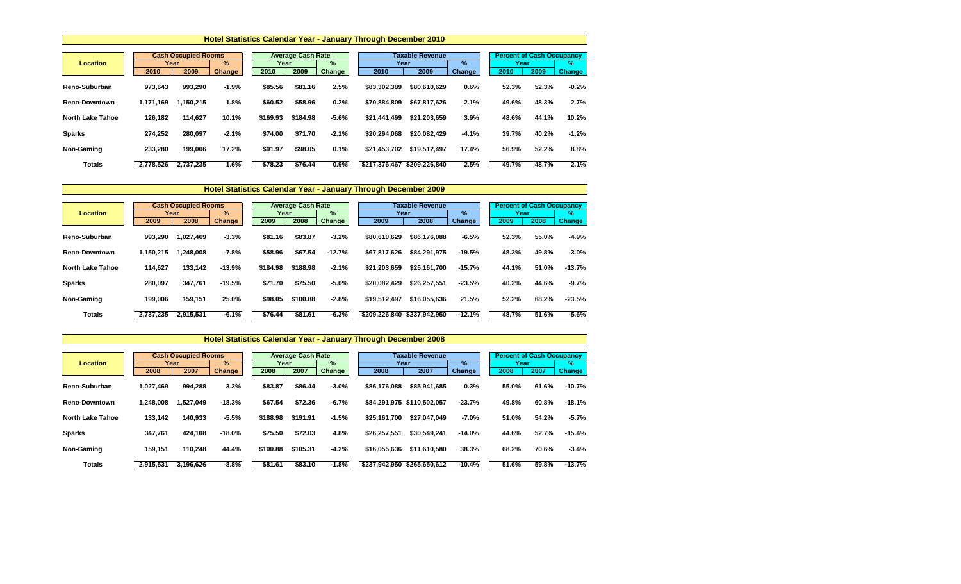|                         |                                         |           |               | <b>Hotel Statistics Calendar Year - January Through December 2010</b> |                                       |               |               |      |                        |               |       |                                  |               |
|-------------------------|-----------------------------------------|-----------|---------------|-----------------------------------------------------------------------|---------------------------------------|---------------|---------------|------|------------------------|---------------|-------|----------------------------------|---------------|
| <b>Location</b>         | <b>Cash Occupied Rooms</b><br>%<br>Year |           |               |                                                                       | <b>Average Cash Rate</b><br>%<br>Year |               |               | Year | <b>Taxable Revenue</b> | $\%$          | Year  | <b>Percent of Cash Occupancy</b> | %             |
|                         | 2010                                    | 2009      | <b>Change</b> | 2010                                                                  | 2009                                  | <b>Change</b> | 2010          |      | 2009                   | <b>Change</b> | 2010  | 2009                             | <b>Change</b> |
| Reno-Suburban           | 973,643                                 | 993,290   | $-1.9%$       | \$85.56                                                               | \$81.16                               | 2.5%          | \$83,302,389  |      | \$80,610,629           | 0.6%          | 52.3% | 52.3%                            | $-0.2%$       |
| <b>Reno-Downtown</b>    | 1,171,169                               | 1,150,215 | 1.8%          | \$60.52                                                               | \$58.96                               | 0.2%          | \$70,884,809  |      | \$67,817,626           | 2.1%          | 49.6% | 48.3%                            | 2.7%          |
| <b>North Lake Tahoe</b> | 126,182                                 | 114,627   | 10.1%         | \$169.93                                                              | \$184.98                              | $-5.6%$       | \$21,441,499  |      | \$21,203,659           | 3.9%          | 48.6% | 44.1%                            | 10.2%         |
| <b>Sparks</b>           | 274,252                                 | 280,097   | $-2.1%$       | \$74.00                                                               | \$71.70                               | $-2.1%$       | \$20,294,068  |      | \$20,082,429           | $-4.1%$       | 39.7% | 40.2%                            | $-1.2%$       |
| Non-Gaming              | 233,280                                 | 199,006   | 17.2%         | \$91.97                                                               | \$98.05                               | 0.1%          | \$21,453,702  |      | \$19,512,497           | 17.4%         | 56.9% | 52.2%                            | 8.8%          |
| <b>Totals</b>           | 2,778,526                               | 2,737,235 | 1.6%          | \$78.23                                                               | \$76.44                               | $0.9\%$       | \$217,376,467 |      | \$209,226,840          | 2.5%          | 49.7% | 48.7%                            | 2.1%          |

|                         |           | <b>Cash Occupied Rooms</b> |               |          | <b>Average Cash Rate</b> |               |               | <b>Taxable Revenue</b> | <b>Percent of Cash Occupancy</b> |       |       |               |
|-------------------------|-----------|----------------------------|---------------|----------|--------------------------|---------------|---------------|------------------------|----------------------------------|-------|-------|---------------|
| <b>Location</b>         | Year      |                            | $\frac{9}{6}$ | Year     |                          | $\%$          | Year          |                        | $\frac{9}{6}$                    | Year  |       | $\%$          |
|                         | 2009      | 2008                       | <b>Change</b> | 2009     | 2008                     | <b>Change</b> | 2009          | 2008                   | <b>Change</b>                    | 2009  | 2008  | <b>Change</b> |
| Reno-Suburban           | 993,290   | 1,027,469                  | $-3.3%$       | \$81.16  | \$83.87                  | $-3.2%$       | \$80,610,629  | \$86,176,088           | $-6.5%$                          | 52.3% | 55.0% | $-4.9%$       |
| <b>Reno-Downtown</b>    | 1,150,215 | 1,248,008                  | $-7.8%$       | \$58.96  | \$67.54                  | $-12.7%$      | \$67,817,626  | \$84,291,975           | $-19.5%$                         | 48.3% | 49.8% | $-3.0%$       |
| <b>North Lake Tahoe</b> | 114,627   | 133,142                    | $-13.9%$      | \$184.98 | \$188.98                 | $-2.1%$       | \$21,203,659  | \$25,161,700           | $-15.7%$                         | 44.1% | 51.0% | $-13.7%$      |
| <b>Sparks</b>           | 280,097   | 347,761                    | $-19.5%$      | \$71.70  | \$75.50                  | $-5.0\%$      | \$20,082,429  | \$26,257,551           | $-23.5%$                         | 40.2% | 44.6% | $-9.7%$       |
| Non-Gaming              | 199,006   | 159,151                    | 25.0%         | \$98.05  | \$100.88                 | $-2.8%$       | \$19,512,497  | \$16,055,636           | 21.5%                            | 52.2% | 68.2% | $-23.5%$      |
| <b>Totals</b>           | 2,737,235 | 2,915,531                  | $-6.1%$       | \$76.44  | \$81.61                  | $-6.3%$       | \$209,226,840 | \$237,942,950          | $-12.1%$                         | 48.7% | 51.6% | $-5.6%$       |

|                         |           | <b>Cash Occupied Rooms</b> |               |          | <b>Average Cash Rate</b> |         |               | Taxable Revenue            |               | <b>Percent of Cash Occupancy</b> |       |               |
|-------------------------|-----------|----------------------------|---------------|----------|--------------------------|---------|---------------|----------------------------|---------------|----------------------------------|-------|---------------|
| <b>Location</b>         | Year      |                            | %             | Year     |                          | $\%$    |               | Year                       | $\%$          | Year                             |       | $\%$          |
|                         | 2008      | 2007                       | <b>Change</b> | 2008     | 2007                     | Change  | 2008          | 2007                       | <b>Change</b> | 2008                             | 2007  | <b>Change</b> |
| Reno-Suburban           | 1,027,469 | 994,288                    | 3.3%          | \$83.87  | \$86.44                  | $-3.0%$ | \$86,176,088  | \$85,941,685               | 0.3%          | 55.0%                            | 61.6% | $-10.7%$      |
| <b>Reno-Downtown</b>    | 1,248,008 | 1,527,049                  | $-18.3%$      | \$67.54  | \$72.36                  | $-6.7%$ |               | \$84,291,975 \$110,502,057 | $-23.7%$      | 49.8%                            | 60.8% | $-18.1%$      |
| <b>North Lake Tahoe</b> | 133,142   | 140,933                    | $-5.5%$       | \$188.98 | \$191.91                 | $-1.5%$ | \$25,161,700  | \$27,047,049               | $-7.0\%$      | 51.0%                            | 54.2% | $-5.7%$       |
| <b>Sparks</b>           | 347,761   | 424,108                    | $-18.0%$      | \$75.50  | \$72.03                  | 4.8%    | \$26,257,551  | \$30,549,241               | $-14.0%$      | 44.6%                            | 52.7% | $-15.4%$      |
| Non-Gaming              | 159,151   | 110,248                    | 44.4%         | \$100.88 | \$105.31                 | $-4.2%$ | \$16,055,636  | \$11,610,580               | 38.3%         | 68.2%                            | 70.6% | $-3.4%$       |
| Totals                  | 2,915,531 | 3,196,626                  | $-8.8%$       | \$81.61  | \$83.10                  | $-1.8%$ | \$237,942,950 | \$265,650,612              | $-10.4%$      | 51.6%                            | 59.8% | $-13.7%$      |

# **Hotel Statistics Calendar Year - January Through December 2008**